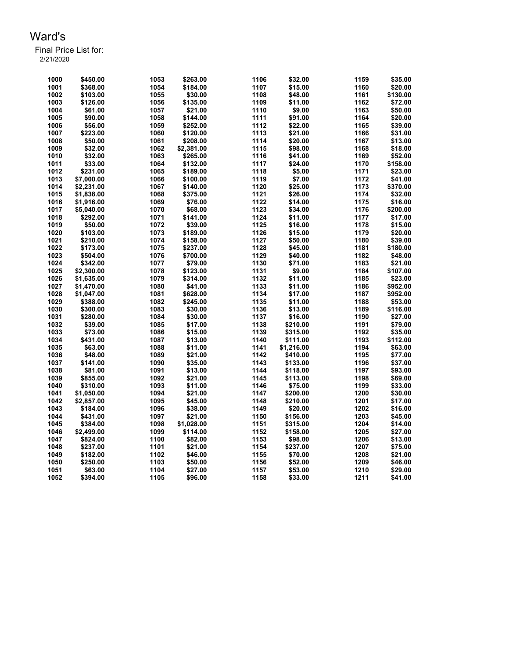| 1000 | \$450.00   | 1053 | \$263.00   | 1106 | \$32.00    | 1159 | \$35.00  |
|------|------------|------|------------|------|------------|------|----------|
| 1001 | \$368.00   | 1054 | \$184.00   | 1107 | \$15.00    | 1160 | \$20.00  |
| 1002 | \$103.00   | 1055 | \$30.00    | 1108 | \$48.00    | 1161 | \$130.00 |
| 1003 | \$126.00   | 1056 | \$135.00   | 1109 | \$11.00    | 1162 | \$72.00  |
| 1004 | \$61.00    | 1057 | \$21.00    | 1110 | \$9.00     | 1163 | \$50.00  |
| 1005 | \$90.00    | 1058 | \$144.00   | 1111 | \$91.00    | 1164 | \$20.00  |
| 1006 | \$56.00    | 1059 | \$252.00   | 1112 | \$22.00    | 1165 | \$39.00  |
| 1007 | \$223.00   | 1060 | \$120.00   | 1113 | \$21.00    | 1166 | \$31.00  |
| 1008 | \$50.00    | 1061 | \$208.00   | 1114 | \$20.00    | 1167 | \$13.00  |
| 1009 | \$32.00    | 1062 | \$2,381.00 | 1115 | \$98.00    | 1168 | \$18.00  |
| 1010 | \$32.00    | 1063 | \$265.00   | 1116 | \$41.00    | 1169 | \$52.00  |
| 1011 | \$33.00    | 1064 | \$132.00   | 1117 | \$24.00    | 1170 | \$158.00 |
| 1012 | \$231.00   | 1065 | \$189.00   | 1118 | \$5.00     | 1171 | \$23.00  |
| 1013 | \$7,000.00 | 1066 | \$100.00   | 1119 | \$7.00     | 1172 | \$41.00  |
| 1014 | \$2,231.00 | 1067 | \$140.00   | 1120 | \$25.00    | 1173 | \$370.00 |
| 1015 | \$1,838.00 | 1068 | \$375.00   | 1121 | \$26.00    | 1174 | \$32.00  |
| 1016 | \$1,916.00 | 1069 | \$76.00    | 1122 | \$14.00    | 1175 | \$16.00  |
| 1017 | \$5,040.00 | 1070 | \$68.00    | 1123 | \$34.00    | 1176 | \$200.00 |
| 1018 | \$292.00   | 1071 | \$141.00   | 1124 | \$11.00    | 1177 | \$17.00  |
| 1019 | \$50.00    | 1072 | \$39.00    | 1125 | \$16.00    | 1178 | \$15.00  |
| 1020 | \$103.00   | 1073 | \$189.00   | 1126 | \$15.00    | 1179 | \$20.00  |
| 1021 | \$210.00   | 1074 | \$158.00   | 1127 | \$50.00    | 1180 | \$39.00  |
| 1022 |            | 1075 |            | 1128 |            | 1181 |          |
|      | \$173.00   |      | \$237.00   | 1129 | \$45.00    |      | \$180.00 |
| 1023 | \$504.00   | 1076 | \$700.00   |      | \$40.00    | 1182 | \$48.00  |
| 1024 | \$342.00   | 1077 | \$79.00    | 1130 | \$71.00    | 1183 | \$21.00  |
| 1025 | \$2,300.00 | 1078 | \$123.00   | 1131 | \$9.00     | 1184 | \$107.00 |
| 1026 | \$1,635.00 | 1079 | \$314.00   | 1132 | \$11.00    | 1185 | \$23.00  |
| 1027 | \$1,470.00 | 1080 | \$41.00    | 1133 | \$11.00    | 1186 | \$952.00 |
| 1028 | \$1,047.00 | 1081 | \$628.00   | 1134 | \$17.00    | 1187 | \$952.00 |
| 1029 | \$388.00   | 1082 | \$245.00   | 1135 | \$11.00    | 1188 | \$53.00  |
| 1030 | \$300.00   | 1083 | \$30.00    | 1136 | \$13.00    | 1189 | \$116.00 |
| 1031 | \$280.00   | 1084 | \$30.00    | 1137 | \$16.00    | 1190 | \$27.00  |
| 1032 | \$39.00    | 1085 | \$17.00    | 1138 | \$210.00   | 1191 | \$79.00  |
| 1033 | \$73.00    | 1086 | \$15.00    | 1139 | \$315.00   | 1192 | \$35.00  |
| 1034 | \$431.00   | 1087 | \$13.00    | 1140 | \$111.00   | 1193 | \$112.00 |
| 1035 | \$63.00    | 1088 | \$11.00    | 1141 | \$1,216.00 | 1194 | \$63.00  |
| 1036 | \$48.00    | 1089 | \$21.00    | 1142 | \$410.00   | 1195 | \$77.00  |
| 1037 | \$141.00   | 1090 | \$35.00    | 1143 | \$133.00   | 1196 | \$37.00  |
| 1038 | \$81.00    | 1091 | \$13.00    | 1144 | \$118.00   | 1197 | \$93.00  |
| 1039 | \$855.00   | 1092 | \$21.00    | 1145 | \$113.00   | 1198 | \$69.00  |
| 1040 | \$310.00   | 1093 | \$11.00    | 1146 | \$75.00    | 1199 | \$33.00  |
| 1041 | \$1,050.00 | 1094 | \$21.00    | 1147 | \$200.00   | 1200 | \$30.00  |
| 1042 | \$2,857.00 | 1095 | \$45.00    | 1148 | \$210.00   | 1201 | \$17.00  |
| 1043 | \$184.00   | 1096 | \$38.00    | 1149 | \$20.00    | 1202 | \$16.00  |
| 1044 | \$431.00   | 1097 | \$21.00    | 1150 | \$156.00   | 1203 | \$45.00  |
| 1045 | \$384.00   | 1098 | \$1,028.00 | 1151 | \$315.00   | 1204 | \$14.00  |
| 1046 | \$2,499.00 | 1099 | \$114.00   | 1152 | \$158.00   | 1205 | \$27.00  |
| 1047 | \$824.00   | 1100 | \$82.00    | 1153 | \$98.00    | 1206 | \$13.00  |
| 1048 | \$237.00   | 1101 | \$21.00    | 1154 | \$237.00   | 1207 | \$75.00  |
| 1049 | \$182.00   | 1102 | \$46.00    | 1155 | \$70.00    | 1208 | \$21.00  |
| 1050 | \$250.00   | 1103 | \$50.00    | 1156 | \$52.00    | 1209 | \$46.00  |
| 1051 | \$63.00    | 1104 | \$27.00    | 1157 | \$53.00    | 1210 | \$29.00  |
| 1052 | \$394.00   | 1105 | \$96.00    | 1158 | \$33.00    | 1211 | \$41.00  |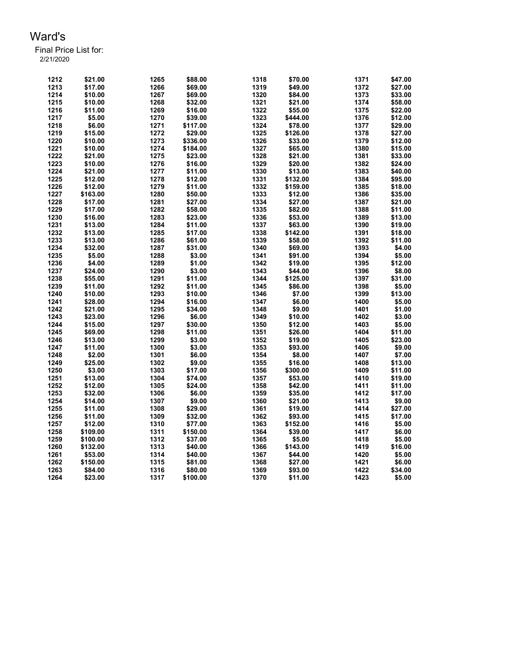| 1212 | \$21.00  | 1265 | \$88.00  | 1318 | \$70.00  | 1371 | \$47.00 |
|------|----------|------|----------|------|----------|------|---------|
| 1213 | \$17.00  | 1266 | \$69.00  | 1319 | \$49.00  | 1372 | \$27.00 |
| 1214 | \$10.00  | 1267 | \$69.00  | 1320 | \$84.00  | 1373 | \$33.00 |
| 1215 | \$10.00  | 1268 | \$32.00  | 1321 | \$21.00  | 1374 | \$58.00 |
| 1216 | \$11.00  | 1269 | \$16.00  | 1322 | \$55.00  | 1375 | \$22.00 |
| 1217 | \$5.00   | 1270 | \$39.00  | 1323 | \$444.00 | 1376 | \$12.00 |
| 1218 | \$6.00   | 1271 | \$117.00 | 1324 | \$78.00  | 1377 | \$29.00 |
| 1219 | \$15.00  | 1272 | \$29.00  | 1325 | \$126.00 | 1378 | \$27.00 |
| 1220 | \$10.00  | 1273 | \$336.00 | 1326 | \$33.00  | 1379 | \$12.00 |
| 1221 | \$10.00  | 1274 | \$184.00 | 1327 | \$65.00  | 1380 | \$15.00 |
| 1222 | \$21.00  | 1275 | \$23.00  | 1328 | \$21.00  | 1381 | \$33.00 |
| 1223 | \$10.00  | 1276 | \$16.00  | 1329 | \$20.00  | 1382 | \$24.00 |
| 1224 | \$21.00  | 1277 | \$11.00  | 1330 | \$13.00  | 1383 | \$40.00 |
| 1225 | \$12.00  | 1278 | \$12.00  | 1331 | \$132.00 | 1384 | \$95.00 |
| 1226 | \$12.00  | 1279 | \$11.00  | 1332 | \$159.00 | 1385 | \$18.00 |
| 1227 | \$163.00 | 1280 | \$50.00  | 1333 | \$12.00  | 1386 | \$35.00 |
| 1228 | \$17.00  | 1281 | \$27.00  | 1334 | \$27.00  | 1387 | \$21.00 |
| 1229 | \$17.00  | 1282 | \$58.00  | 1335 | \$82.00  | 1388 | \$11.00 |
|      |          |      |          | 1336 |          | 1389 |         |
| 1230 | \$16.00  | 1283 | \$23.00  |      | \$53.00  |      | \$13.00 |
| 1231 | \$13.00  | 1284 | \$11.00  | 1337 | \$63.00  | 1390 | \$19.00 |
| 1232 | \$13.00  | 1285 | \$17.00  | 1338 | \$142.00 | 1391 | \$18.00 |
| 1233 | \$13.00  | 1286 | \$61.00  | 1339 | \$58.00  | 1392 | \$11.00 |
| 1234 | \$32.00  | 1287 | \$31.00  | 1340 | \$69.00  | 1393 | \$4.00  |
| 1235 | \$5.00   | 1288 | \$3.00   | 1341 | \$91.00  | 1394 | \$5.00  |
| 1236 | \$4.00   | 1289 | \$1.00   | 1342 | \$19.00  | 1395 | \$12.00 |
| 1237 | \$24.00  | 1290 | \$3.00   | 1343 | \$44.00  | 1396 | \$8.00  |
| 1238 | \$55.00  | 1291 | \$11.00  | 1344 | \$125.00 | 1397 | \$31.00 |
| 1239 | \$11.00  | 1292 | \$11.00  | 1345 | \$86.00  | 1398 | \$5.00  |
| 1240 | \$10.00  | 1293 | \$10.00  | 1346 | \$7.00   | 1399 | \$13.00 |
| 1241 | \$28.00  | 1294 | \$16.00  | 1347 | \$6.00   | 1400 | \$5.00  |
| 1242 | \$21.00  | 1295 | \$34.00  | 1348 | \$9.00   | 1401 | \$1.00  |
| 1243 | \$23.00  | 1296 | \$6.00   | 1349 | \$10.00  | 1402 | \$3.00  |
| 1244 | \$15.00  | 1297 | \$30.00  | 1350 | \$12.00  | 1403 | \$5.00  |
| 1245 | \$69.00  | 1298 | \$11.00  | 1351 | \$26.00  | 1404 | \$11.00 |
| 1246 | \$13.00  | 1299 | \$3.00   | 1352 | \$19.00  | 1405 | \$23.00 |
| 1247 | \$11.00  | 1300 | \$3.00   | 1353 | \$93.00  | 1406 | \$9.00  |
| 1248 | \$2.00   | 1301 | \$6.00   | 1354 | \$8.00   | 1407 | \$7.00  |
| 1249 | \$25.00  | 1302 | \$9.00   | 1355 | \$16.00  | 1408 | \$13.00 |
| 1250 | \$3.00   | 1303 | \$17.00  | 1356 | \$300.00 | 1409 | \$11.00 |
| 1251 | \$13.00  | 1304 | \$74.00  | 1357 | \$53.00  | 1410 | \$19.00 |
| 1252 | \$12.00  | 1305 | \$24.00  | 1358 | \$42.00  | 1411 | \$11.00 |
| 1253 | \$32.00  | 1306 | \$6.00   | 1359 | \$35.00  | 1412 | \$17.00 |
| 1254 | \$14.00  | 1307 | \$9.00   | 1360 | \$21.00  | 1413 | \$9.00  |
| 1255 | \$11.00  | 1308 | \$29.00  | 1361 | \$19.00  | 1414 | \$27.00 |
| 1256 | \$11.00  | 1309 | \$32.00  | 1362 | \$93.00  | 1415 | \$17.00 |
| 1257 | \$12.00  | 1310 | \$77.00  | 1363 | \$152.00 | 1416 | \$5.00  |
| 1258 | \$109.00 | 1311 | \$150.00 | 1364 | \$39.00  | 1417 | \$6.00  |
| 1259 | \$100.00 | 1312 | \$37.00  | 1365 | \$5.00   | 1418 | \$5.00  |
| 1260 | \$132.00 | 1313 | \$40.00  | 1366 | \$143.00 | 1419 | \$16.00 |
| 1261 | \$53.00  | 1314 | \$40.00  | 1367 | \$44.00  | 1420 | \$5.00  |
| 1262 | \$150.00 | 1315 | \$81.00  | 1368 | \$27.00  | 1421 | \$6.00  |
| 1263 | \$84.00  | 1316 | \$80.00  | 1369 | \$93.00  | 1422 | \$34.00 |
| 1264 | \$23.00  | 1317 | \$100.00 | 1370 | \$11.00  | 1423 | \$5.00  |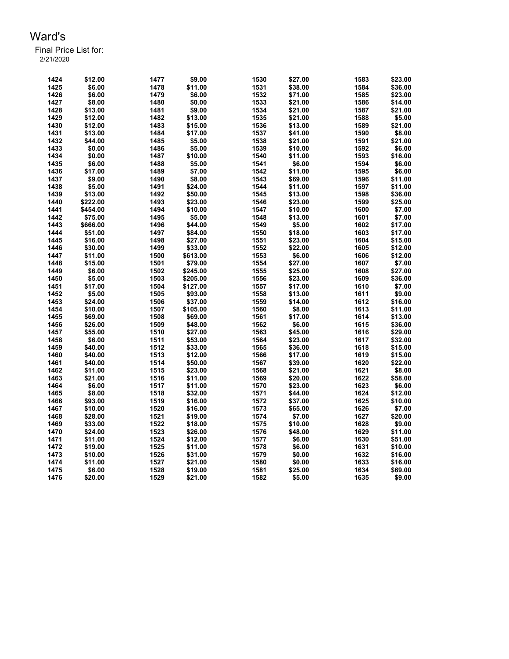| 1424 | \$12.00  | 1477 | \$9.00   | 1530         | \$27.00 | 1583         | \$23.00           |
|------|----------|------|----------|--------------|---------|--------------|-------------------|
| 1425 | \$6.00   | 1478 | \$11.00  | 1531         | \$38.00 | 1584         | \$36.00           |
| 1426 | \$6.00   | 1479 | \$6.00   | 1532         | \$71.00 | 1585         | \$23.00           |
| 1427 | \$8.00   | 1480 | \$0.00   | 1533         | \$21.00 | 1586         | \$14.00           |
| 1428 | \$13.00  | 1481 | \$9.00   | 1534         | \$21.00 | 1587         | \$21.00           |
| 1429 | \$12.00  | 1482 | \$13.00  | 1535         | \$21.00 | 1588         | \$5.00            |
| 1430 | \$12.00  | 1483 | \$15.00  | 1536         | \$13.00 | 1589         | \$21.00           |
| 1431 | \$13.00  | 1484 | \$17.00  | 1537         | \$41.00 | 1590         | \$8.00            |
| 1432 | \$44.00  | 1485 | \$5.00   | 1538         | \$21.00 | 1591         | \$21.00           |
| 1433 | \$0.00   | 1486 | \$5.00   | 1539         | \$10.00 | 1592         | \$6.00            |
| 1434 | \$0.00   | 1487 | \$10.00  | 1540         | \$11.00 | 1593         | \$16.00           |
| 1435 | \$6.00   | 1488 | \$5.00   | 1541         | \$6.00  | 1594         | \$6.00            |
| 1436 | \$17.00  | 1489 | \$7.00   | 1542         | \$11.00 | 1595         | \$6.00            |
|      |          |      |          |              |         |              |                   |
| 1437 | \$9.00   | 1490 | \$8.00   | 1543         | \$69.00 | 1596<br>1597 | \$11.00           |
| 1438 | \$5.00   | 1491 | \$24.00  | 1544         | \$11.00 |              | \$11.00           |
| 1439 | \$13.00  | 1492 | \$50.00  | 1545         | \$13.00 | 1598         | \$36.00           |
| 1440 | \$222.00 | 1493 | \$23.00  | 1546         | \$23.00 | 1599         | \$25.00           |
| 1441 | \$454.00 | 1494 | \$10.00  | 1547         | \$10.00 | 1600         | \$7.00            |
| 1442 | \$75.00  | 1495 | \$5.00   | 1548         | \$13.00 | 1601         | \$7.00            |
| 1443 | \$666.00 | 1496 | \$44.00  | 1549         | \$5.00  | 1602         | \$17.00           |
| 1444 | \$51.00  | 1497 | \$84.00  | 1550         | \$18.00 | 1603         | \$17.00           |
| 1445 | \$16.00  | 1498 | \$27.00  | 1551         | \$23.00 | 1604         | \$15.00           |
| 1446 | \$30.00  | 1499 | \$33.00  | 1552         | \$22.00 | 1605         | \$12.00           |
| 1447 | \$11.00  | 1500 | \$613.00 | 1553         | \$6.00  | 1606         | \$12.00           |
| 1448 | \$15.00  | 1501 | \$79.00  | 1554         | \$27.00 | 1607         | \$7.00            |
| 1449 | \$6.00   | 1502 | \$245.00 | 1555         | \$25.00 | 1608         | \$27.00           |
| 1450 | \$5.00   | 1503 | \$205.00 | 1556         | \$23.00 | 1609         | \$36.00           |
| 1451 | \$17.00  | 1504 | \$127.00 | 1557         | \$17.00 | 1610         | \$7.00            |
| 1452 | \$5.00   | 1505 | \$93.00  | 1558         | \$13.00 | 1611         | \$9.00            |
| 1453 | \$24.00  | 1506 | \$37.00  | 1559         | \$14.00 | 1612         | \$16.00           |
| 1454 | \$10.00  | 1507 | \$105.00 | 1560         | \$8.00  | 1613         | \$11.00           |
| 1455 | \$69.00  | 1508 | \$69.00  | 1561         | \$17.00 | 1614         | \$13.00           |
| 1456 | \$26.00  | 1509 | \$48.00  | 1562         | \$6.00  | 1615         | \$36.00           |
| 1457 | \$55.00  | 1510 | \$27.00  | 1563         | \$45.00 | 1616         | \$29.00           |
| 1458 | \$6.00   | 1511 | \$53.00  | 1564         | \$23.00 | 1617         | \$32.00           |
| 1459 | \$40.00  | 1512 | \$33.00  | 1565         | \$36.00 | 1618         | \$15.00           |
| 1460 | \$40.00  | 1513 | \$12.00  | 1566         | \$17.00 | 1619         | \$15.00           |
| 1461 | \$40.00  | 1514 | \$50.00  | 1567         | \$39.00 | 1620         | \$22.00           |
| 1462 | \$11.00  | 1515 | \$23.00  | 1568         | \$21.00 | 1621         | \$8.00            |
| 1463 | \$21.00  | 1516 | \$11.00  | 1569         | \$20.00 | 1622         | \$58.00           |
| 1464 | \$6.00   | 1517 | \$11.00  |              | \$23.00 | 1623         |                   |
| 1465 | \$8.00   | 1518 |          | 1570<br>1571 |         | 1624         | \$6.00<br>\$12.00 |
|      |          |      | \$32.00  |              | \$44.00 |              |                   |
| 1466 | \$93.00  | 1519 | \$16.00  | 1572         | \$37.00 | 1625         | \$10.00           |
| 1467 | \$10.00  | 1520 | \$16.00  | 1573         | \$65.00 | 1626         | \$7.00            |
| 1468 | \$28.00  | 1521 | \$19.00  | 1574         | \$7.00  | 1627         | \$20.00           |
| 1469 | \$33.00  | 1522 | \$18.00  | 1575         | \$10.00 | 1628         | \$9.00            |
| 1470 | \$24.00  | 1523 | \$26.00  | 1576         | \$48.00 | 1629         | \$11.00           |
| 1471 | \$11.00  | 1524 | \$12.00  | 1577         | \$6.00  | 1630         | \$51.00           |
| 1472 | \$19.00  | 1525 | \$11.00  | 1578         | \$6.00  | 1631         | \$10.00           |
| 1473 | \$10.00  | 1526 | \$31.00  | 1579         | \$0.00  | 1632         | \$16.00           |
| 1474 | \$11.00  | 1527 | \$21.00  | 1580         | \$0.00  | 1633         | \$16.00           |
| 1475 | \$6.00   | 1528 | \$19.00  | 1581         | \$25.00 | 1634         | \$69.00           |
| 1476 | \$20.00  | 1529 | \$21.00  | 1582         | \$5.00  | 1635         | \$9.00            |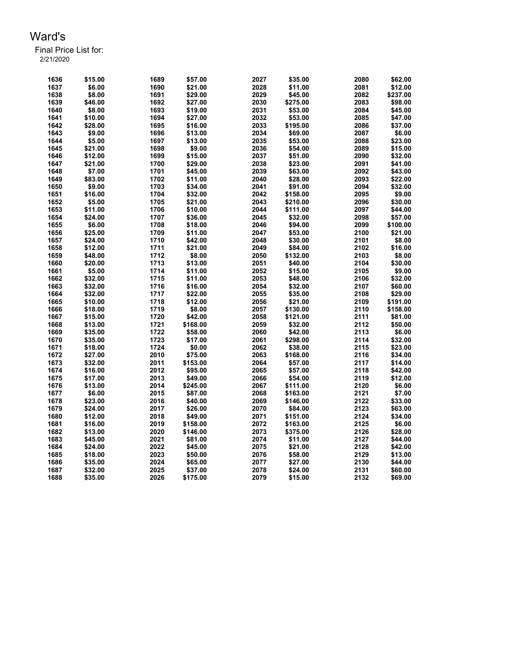| 1636 | \$15.00 | 1689 | \$57.00  | 2027 | \$35.00  | 2080 | \$62.00  |
|------|---------|------|----------|------|----------|------|----------|
| 1637 | \$6.00  | 1690 | \$21.00  | 2028 | \$11.00  | 2081 | \$12.00  |
| 1638 | \$8.00  | 1691 | \$29.00  | 2029 | \$45.00  | 2082 | \$237.00 |
| 1639 | \$46.00 | 1692 | \$27.00  | 2030 | \$275.00 | 2083 | \$98.00  |
| 1640 | \$8.00  | 1693 | \$19.00  | 2031 | \$53.00  | 2084 | \$45.00  |
| 1641 | \$10.00 | 1694 | \$27.00  | 2032 | \$53.00  | 2085 | \$47.00  |
| 1642 | \$28.00 | 1695 | \$16.00  | 2033 | \$195.00 | 2086 | \$37.00  |
| 1643 | \$9.00  | 1696 | \$13.00  | 2034 | \$69.00  | 2087 | \$6.00   |
| 1644 | \$5.00  | 1697 | \$13.00  | 2035 | \$53.00  | 2088 | \$23.00  |
| 1645 | \$21.00 | 1698 | \$9.00   | 2036 | \$54.00  | 2089 | \$15.00  |
| 1646 | \$12.00 | 1699 | \$15.00  | 2037 | \$51.00  | 2090 | \$32.00  |
| 1647 | \$21.00 | 1700 | \$29.00  | 2038 | \$23.00  | 2091 | \$41.00  |
| 1648 | \$7.00  | 1701 | \$45.00  | 2039 | \$63.00  | 2092 | \$43.00  |
| 1649 | \$83.00 | 1702 | \$11.00  | 2040 | \$28.00  | 2093 | \$22.00  |
| 1650 | \$9.00  | 1703 | \$34.00  | 2041 | \$91.00  | 2094 | \$32.00  |
| 1651 | \$16.00 | 1704 | \$32.00  | 2042 | \$158.00 | 2095 | \$9.00   |
| 1652 | \$5.00  | 1705 | \$21.00  | 2043 | \$210.00 | 2096 | \$30.00  |
| 1653 | \$11.00 | 1706 | \$10.00  | 2044 | \$111.00 | 2097 | \$44.00  |
| 1654 | \$24.00 | 1707 | \$36.00  | 2045 | \$32.00  | 2098 | \$57.00  |
| 1655 | \$6.00  | 1708 | \$18.00  | 2046 | \$94.00  | 2099 | \$100.00 |
| 1656 | \$25.00 | 1709 | \$11.00  | 2047 | \$53.00  | 2100 | \$21.00  |
| 1657 | \$24.00 | 1710 | \$42.00  | 2048 | \$30.00  | 2101 | \$8.00   |
| 1658 | \$12.00 | 1711 | \$21.00  | 2049 | \$84.00  | 2102 | \$16.00  |
| 1659 | \$48.00 | 1712 | \$8.00   | 2050 | \$132.00 | 2103 | \$8.00   |
| 1660 | \$20.00 | 1713 | \$13.00  | 2051 | \$40.00  | 2104 | \$30.00  |
|      |         | 1714 |          | 2052 |          | 2105 |          |
| 1661 | \$5.00  |      | \$11.00  | 2053 | \$15.00  | 2106 | \$9.00   |
| 1662 | \$32.00 | 1715 | \$11.00  | 2054 | \$48.00  |      | \$32.00  |
| 1663 | \$32.00 | 1716 | \$16.00  |      | \$32.00  | 2107 | \$60.00  |
| 1664 | \$32.00 | 1717 | \$22.00  | 2055 | \$35.00  | 2108 | \$29.00  |
| 1665 | \$10.00 | 1718 | \$12.00  | 2056 | \$21.00  | 2109 | \$191.00 |
| 1666 | \$18.00 | 1719 | \$8.00   | 2057 | \$130.00 | 2110 | \$158.00 |
| 1667 | \$15.00 | 1720 | \$42.00  | 2058 | \$121.00 | 2111 | \$81.00  |
| 1668 | \$13.00 | 1721 | \$168.00 | 2059 | \$32.00  | 2112 | \$50.00  |
| 1669 | \$35.00 | 1722 | \$58.00  | 2060 | \$42.00  | 2113 | \$6.00   |
| 1670 | \$35.00 | 1723 | \$17.00  | 2061 | \$298.00 | 2114 | \$32.00  |
| 1671 | \$18.00 | 1724 | \$0.00   | 2062 | \$38.00  | 2115 | \$23.00  |
| 1672 | \$27.00 | 2010 | \$75.00  | 2063 | \$168.00 | 2116 | \$34.00  |
| 1673 | \$32.00 | 2011 | \$153.00 | 2064 | \$57.00  | 2117 | \$14.00  |
| 1674 | \$16.00 | 2012 | \$95.00  | 2065 | \$57.00  | 2118 | \$42.00  |
| 1675 | \$17.00 | 2013 | \$49.00  | 2066 | \$54.00  | 2119 | \$12.00  |
| 1676 | \$13.00 | 2014 | \$245.00 | 2067 | \$111.00 | 2120 | \$6.00   |
| 1677 | \$6.00  | 2015 | \$87.00  | 2068 | \$163.00 | 2121 | \$7.00   |
| 1678 | \$23.00 | 2016 | \$40.00  | 2069 | \$146.00 | 2122 | \$33.00  |
| 1679 | \$24.00 | 2017 | \$26.00  | 2070 | \$84.00  | 2123 | \$63.00  |
| 1680 | \$12.00 | 2018 | \$49.00  | 2071 | \$151.00 | 2124 | \$34.00  |
| 1681 | \$16.00 | 2019 | \$158.00 | 2072 | \$163.00 | 2125 | \$6.00   |
| 1682 | \$13.00 | 2020 | \$146.00 | 2073 | \$375.00 | 2126 | \$28.00  |
| 1683 | \$45.00 | 2021 | \$81.00  | 2074 | \$11.00  | 2127 | \$44.00  |
| 1684 | \$24.00 | 2022 | \$45.00  | 2075 | \$21.00  | 2128 | \$42.00  |
| 1685 | \$18.00 | 2023 | \$50.00  | 2076 | \$58.00  | 2129 | \$13.00  |
| 1686 | \$35.00 | 2024 | \$65.00  | 2077 | \$27.00  | 2130 | \$44.00  |
| 1687 | \$32.00 | 2025 | \$37.00  | 2078 | \$24.00  | 2131 | \$60.00  |
| 1688 | \$35.00 | 2026 | \$175.00 | 2079 | \$15.00  | 2132 | \$69.00  |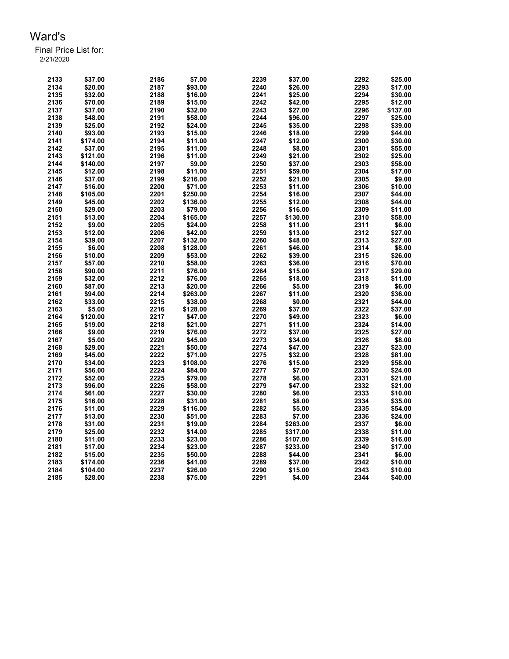| 2133 | \$37.00  | 2186 | \$7.00   | 2239 | \$37.00  | 2292 | \$25.00  |
|------|----------|------|----------|------|----------|------|----------|
| 2134 | \$20.00  | 2187 | \$93.00  | 2240 | \$26.00  | 2293 | \$17.00  |
| 2135 | \$32.00  | 2188 | \$16.00  | 2241 | \$25.00  | 2294 | \$30.00  |
| 2136 | \$70.00  | 2189 | \$15.00  | 2242 | \$42.00  | 2295 | \$12.00  |
| 2137 | \$37.00  | 2190 | \$32.00  | 2243 | \$27.00  | 2296 | \$137.00 |
| 2138 | \$48.00  | 2191 | \$58.00  | 2244 | \$96.00  | 2297 | \$25.00  |
| 2139 | \$25.00  | 2192 | \$24.00  | 2245 | \$35.00  | 2298 | \$39.00  |
| 2140 | \$93.00  | 2193 | \$15.00  | 2246 | \$18.00  | 2299 | \$44.00  |
| 2141 | \$174.00 | 2194 | \$11.00  | 2247 | \$12.00  | 2300 | \$30.00  |
| 2142 | \$37.00  | 2195 | \$11.00  | 2248 | \$8.00   | 2301 | \$55.00  |
| 2143 | \$121.00 | 2196 | \$11.00  | 2249 | \$21.00  | 2302 | \$25.00  |
| 2144 | \$140.00 | 2197 | \$9.00   | 2250 | \$37.00  | 2303 | \$58.00  |
| 2145 | \$12.00  | 2198 | \$11.00  | 2251 | \$59.00  | 2304 | \$17.00  |
| 2146 | \$37.00  | 2199 | \$216.00 | 2252 | \$21.00  | 2305 | \$9.00   |
| 2147 | \$16.00  | 2200 | \$71.00  | 2253 | \$11.00  | 2306 | \$10.00  |
| 2148 | \$105.00 | 2201 | \$250.00 | 2254 | \$16.00  | 2307 | \$44.00  |
| 2149 | \$45.00  | 2202 | \$136.00 | 2255 | \$12.00  | 2308 | \$44.00  |
| 2150 | \$29.00  | 2203 | \$79.00  | 2256 | \$16.00  | 2309 | \$11.00  |
| 2151 | \$13.00  | 2204 | \$165.00 | 2257 | \$130.00 | 2310 | \$58.00  |
| 2152 | \$9.00   | 2205 | \$24.00  | 2258 | \$11.00  | 2311 | \$6.00   |
| 2153 | \$12.00  | 2206 | \$42.00  | 2259 | \$13.00  | 2312 | \$27.00  |
| 2154 | \$39.00  | 2207 | \$132.00 | 2260 | \$48.00  | 2313 | \$27.00  |
| 2155 | \$6.00   | 2208 | \$128.00 | 2261 | \$46.00  | 2314 | \$8.00   |
| 2156 | \$10.00  | 2209 | \$53.00  | 2262 | \$39.00  | 2315 | \$26.00  |
| 2157 | \$57.00  | 2210 | \$58.00  | 2263 | \$36.00  | 2316 | \$70.00  |
| 2158 | \$90.00  | 2211 | \$76.00  | 2264 | \$15.00  | 2317 | \$29.00  |
| 2159 | \$32.00  | 2212 | \$76.00  | 2265 | \$18.00  | 2318 | \$11.00  |
| 2160 | \$87.00  | 2213 | \$20.00  | 2266 | \$5.00   | 2319 | \$6.00   |
| 2161 | \$94.00  | 2214 | \$263.00 | 2267 | \$11.00  | 2320 | \$36.00  |
| 2162 | \$33.00  | 2215 | \$38.00  | 2268 | \$0.00   | 2321 | \$44.00  |
| 2163 | \$5.00   | 2216 | \$128.00 | 2269 | \$37.00  | 2322 | \$37.00  |
| 2164 | \$120.00 | 2217 | \$47.00  | 2270 | \$49.00  | 2323 | \$6.00   |
| 2165 | \$19.00  | 2218 | \$21.00  | 2271 | \$11.00  | 2324 | \$14.00  |
| 2166 | \$9.00   | 2219 | \$76.00  | 2272 | \$37.00  | 2325 | \$27.00  |
| 2167 | \$5.00   | 2220 | \$45.00  | 2273 | \$34.00  | 2326 | \$8.00   |
| 2168 | \$29.00  | 2221 | \$50.00  | 2274 | \$47.00  | 2327 | \$23.00  |
| 2169 | \$45.00  | 2222 | \$71.00  | 2275 | \$32.00  | 2328 | \$81.00  |
| 2170 | \$34.00  | 2223 | \$108.00 | 2276 | \$15.00  | 2329 | \$58.00  |
| 2171 | \$56.00  | 2224 | \$84.00  | 2277 | \$7.00   | 2330 | \$24.00  |
| 2172 | \$52.00  | 2225 | \$79.00  | 2278 | \$6.00   | 2331 | \$21.00  |
| 2173 | \$96.00  | 2226 | \$58.00  | 2279 | \$47.00  | 2332 | \$21.00  |
| 2174 | \$61.00  | 2227 | \$30.00  | 2280 | \$6.00   | 2333 | \$10.00  |
| 2175 | \$16.00  | 2228 | \$31.00  | 2281 | \$8.00   | 2334 | \$35.00  |
| 2176 | \$11.00  | 2229 | \$116.00 | 2282 | \$5.00   | 2335 | \$54.00  |
| 2177 | \$13.00  | 2230 | \$51.00  | 2283 | \$7.00   | 2336 | \$24.00  |
| 2178 | \$31.00  | 2231 | \$19.00  | 2284 | \$263.00 | 2337 | \$6.00   |
| 2179 | \$25.00  | 2232 | \$14.00  | 2285 | \$317.00 | 2338 | \$11.00  |
| 2180 | \$11.00  | 2233 | \$23.00  | 2286 | \$107.00 | 2339 | \$16.00  |
| 2181 | \$17.00  | 2234 | \$23.00  | 2287 | \$233.00 | 2340 | \$17.00  |
| 2182 | \$15.00  | 2235 | \$50.00  | 2288 | \$44.00  | 2341 | \$6.00   |
| 2183 | \$174.00 | 2236 | \$41.00  | 2289 | \$37.00  | 2342 | \$10.00  |
| 2184 | \$104.00 | 2237 | \$26.00  | 2290 | \$15.00  | 2343 | \$10.00  |
| 2185 | \$28.00  | 2238 | \$75.00  | 2291 | \$4.00   | 2344 | \$40.00  |
|      |          |      |          |      |          |      |          |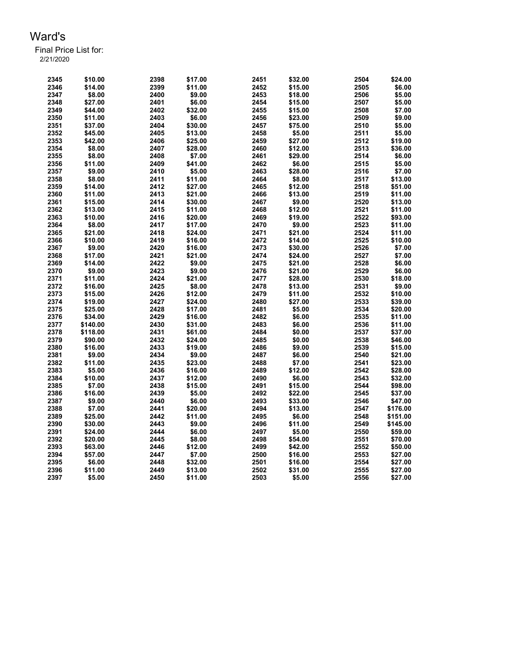| 2345 | \$10.00  | 2398 | \$17.00 | 2451 | \$32.00 | 2504 | \$24.00  |
|------|----------|------|---------|------|---------|------|----------|
| 2346 | \$14.00  | 2399 | \$11.00 | 2452 | \$15.00 | 2505 | \$6.00   |
| 2347 | \$8.00   | 2400 | \$9.00  | 2453 | \$18.00 | 2506 | \$5.00   |
| 2348 | \$27.00  | 2401 | \$6.00  | 2454 | \$15.00 | 2507 | \$5.00   |
| 2349 | \$44.00  | 2402 | \$32.00 | 2455 | \$15.00 | 2508 | \$7.00   |
| 2350 | \$11.00  | 2403 | \$6.00  | 2456 | \$23.00 | 2509 | \$9.00   |
| 2351 | \$37.00  | 2404 | \$30.00 | 2457 | \$75.00 | 2510 | \$5.00   |
| 2352 | \$45.00  | 2405 | \$13.00 | 2458 | \$5.00  | 2511 | \$5.00   |
| 2353 | \$42.00  | 2406 | \$25.00 | 2459 | \$27.00 | 2512 | \$19.00  |
| 2354 | \$8.00   | 2407 | \$28.00 | 2460 | \$12.00 | 2513 | \$36.00  |
| 2355 | \$8.00   | 2408 | \$7.00  | 2461 | \$29.00 | 2514 | \$6.00   |
| 2356 | \$11.00  | 2409 | \$41.00 | 2462 | \$6.00  | 2515 | \$5.00   |
| 2357 | \$9.00   | 2410 | \$5.00  | 2463 | \$28.00 | 2516 | \$7.00   |
| 2358 | \$8.00   | 2411 | \$11.00 | 2464 | \$8.00  | 2517 | \$13.00  |
| 2359 | \$14.00  | 2412 | \$27.00 | 2465 | \$12.00 | 2518 | \$51.00  |
| 2360 | \$11.00  | 2413 | \$21.00 | 2466 | \$13.00 | 2519 | \$11.00  |
| 2361 | \$15.00  | 2414 |         | 2467 | \$9.00  | 2520 | \$13.00  |
| 2362 |          | 2415 | \$30.00 | 2468 |         | 2521 |          |
|      | \$13.00  |      | \$11.00 |      | \$12.00 | 2522 | \$11.00  |
| 2363 | \$10.00  | 2416 | \$20.00 | 2469 | \$19.00 |      | \$93.00  |
| 2364 | \$8.00   | 2417 | \$17.00 | 2470 | \$9.00  | 2523 | \$11.00  |
| 2365 | \$21.00  | 2418 | \$24.00 | 2471 | \$21.00 | 2524 | \$11.00  |
| 2366 | \$10.00  | 2419 | \$16.00 | 2472 | \$14.00 | 2525 | \$10.00  |
| 2367 | \$9.00   | 2420 | \$16.00 | 2473 | \$30.00 | 2526 | \$7.00   |
| 2368 | \$17.00  | 2421 | \$21.00 | 2474 | \$24.00 | 2527 | \$7.00   |
| 2369 | \$14.00  | 2422 | \$9.00  | 2475 | \$21.00 | 2528 | \$6.00   |
| 2370 | \$9.00   | 2423 | \$9.00  | 2476 | \$21.00 | 2529 | \$6.00   |
| 2371 | \$11.00  | 2424 | \$21.00 | 2477 | \$28.00 | 2530 | \$18.00  |
| 2372 | \$16.00  | 2425 | \$8.00  | 2478 | \$13.00 | 2531 | \$9.00   |
| 2373 | \$15.00  | 2426 | \$12.00 | 2479 | \$11.00 | 2532 | \$10.00  |
| 2374 | \$19.00  | 2427 | \$24.00 | 2480 | \$27.00 | 2533 | \$39.00  |
| 2375 | \$25.00  | 2428 | \$17.00 | 2481 | \$5.00  | 2534 | \$20.00  |
| 2376 | \$34.00  | 2429 | \$16.00 | 2482 | \$6.00  | 2535 | \$11.00  |
| 2377 | \$140.00 | 2430 | \$31.00 | 2483 | \$6.00  | 2536 | \$11.00  |
| 2378 | \$118.00 | 2431 | \$61.00 | 2484 | \$0.00  | 2537 | \$37.00  |
| 2379 | \$90.00  | 2432 | \$24.00 | 2485 | \$0.00  | 2538 | \$46.00  |
| 2380 | \$16.00  | 2433 | \$19.00 | 2486 | \$9.00  | 2539 | \$15.00  |
| 2381 | \$9.00   | 2434 | \$9.00  | 2487 | \$6.00  | 2540 | \$21.00  |
| 2382 | \$11.00  | 2435 | \$23.00 | 2488 | \$7.00  | 2541 | \$23.00  |
| 2383 | \$5.00   | 2436 | \$16.00 | 2489 | \$12.00 | 2542 | \$28.00  |
| 2384 | \$10.00  | 2437 | \$12.00 | 2490 | \$6.00  | 2543 | \$32.00  |
| 2385 | \$7.00   | 2438 | \$15.00 | 2491 | \$15.00 | 2544 | \$98.00  |
| 2386 | \$16.00  | 2439 | \$5.00  | 2492 | \$22.00 | 2545 | \$37.00  |
| 2387 | \$9.00   | 2440 | \$6.00  | 2493 | \$33.00 | 2546 | \$47.00  |
| 2388 | \$7.00   | 2441 | \$20.00 | 2494 | \$13.00 | 2547 | \$176.00 |
| 2389 | \$25.00  | 2442 | \$11.00 | 2495 | \$6.00  | 2548 | \$151.00 |
| 2390 | \$30.00  | 2443 | \$9.00  | 2496 | \$11.00 | 2549 | \$145.00 |
| 2391 | \$24.00  | 2444 | \$6.00  | 2497 | \$5.00  | 2550 | \$59.00  |
| 2392 | \$20.00  | 2445 | \$8.00  | 2498 | \$54.00 | 2551 | \$70.00  |
| 2393 | \$63.00  | 2446 | \$12.00 | 2499 | \$42.00 | 2552 | \$50.00  |
| 2394 | \$57.00  | 2447 | \$7.00  | 2500 | \$16.00 | 2553 | \$27.00  |
| 2395 | \$6.00   | 2448 | \$32.00 | 2501 | \$16.00 | 2554 | \$27.00  |
| 2396 | \$11.00  | 2449 | \$13.00 | 2502 | \$31.00 | 2555 | \$27.00  |
| 2397 | \$5.00   | 2450 | \$11.00 | 2503 | \$5.00  | 2556 | \$27.00  |
|      |          |      |         |      |         |      |          |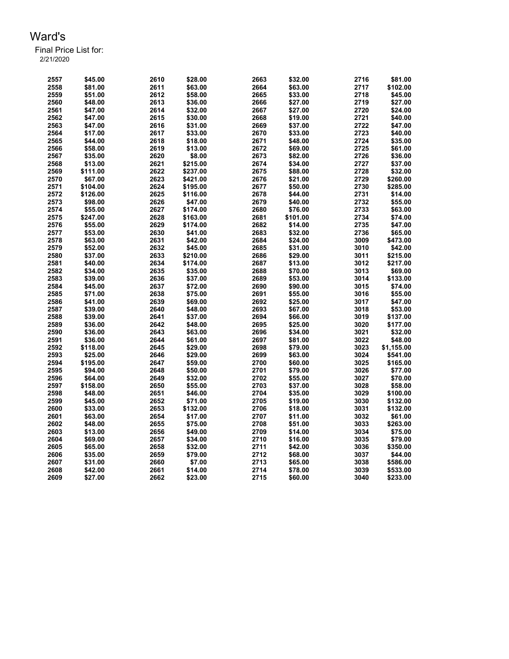| 2557 | \$45.00  | 2610 | \$28.00  | 2663 | \$32.00  | 2716 | \$81.00    |
|------|----------|------|----------|------|----------|------|------------|
| 2558 | \$81.00  | 2611 | \$63.00  | 2664 | \$63.00  | 2717 | \$102.00   |
| 2559 | \$51.00  | 2612 | \$58.00  | 2665 | \$33.00  | 2718 | \$45.00    |
| 2560 | \$48.00  | 2613 | \$36.00  | 2666 | \$27.00  | 2719 | \$27.00    |
| 2561 | \$47.00  | 2614 | \$32.00  | 2667 | \$27.00  | 2720 | \$24.00    |
| 2562 | \$47.00  | 2615 | \$30.00  | 2668 | \$19.00  | 2721 | \$40.00    |
| 2563 | \$47.00  | 2616 | \$31.00  | 2669 | \$37.00  | 2722 | \$47.00    |
| 2564 | \$17.00  | 2617 | \$33.00  | 2670 | \$33.00  | 2723 | \$40.00    |
| 2565 | \$44.00  | 2618 | \$18.00  | 2671 | \$48.00  | 2724 | \$35.00    |
| 2566 | \$58.00  | 2619 | \$13.00  | 2672 | \$69.00  | 2725 | \$61.00    |
| 2567 | \$35.00  | 2620 | \$8.00   | 2673 | \$82.00  | 2726 | \$36.00    |
| 2568 | \$13.00  | 2621 | \$215.00 | 2674 | \$34.00  | 2727 | \$37.00    |
| 2569 | \$111.00 | 2622 | \$237.00 | 2675 | \$88.00  | 2728 | \$32.00    |
| 2570 | \$67.00  | 2623 | \$421.00 | 2676 | \$21.00  | 2729 | \$260.00   |
| 2571 | \$104.00 | 2624 | \$195.00 | 2677 | \$50.00  | 2730 | \$285.00   |
| 2572 | \$126.00 | 2625 | \$116.00 | 2678 | \$44.00  | 2731 | \$14.00    |
| 2573 | \$98.00  | 2626 | \$47.00  | 2679 | \$40.00  | 2732 | \$55.00    |
| 2574 | \$55.00  | 2627 | \$174.00 | 2680 | \$76.00  | 2733 | \$63.00    |
| 2575 | \$247.00 | 2628 | \$163.00 | 2681 | \$101.00 | 2734 | \$74.00    |
| 2576 | \$55.00  | 2629 | \$174.00 | 2682 | \$14.00  | 2735 | \$47.00    |
| 2577 | \$53.00  | 2630 | \$41.00  | 2683 | \$32.00  | 2736 | \$65.00    |
| 2578 | \$63.00  | 2631 | \$42.00  | 2684 | \$24.00  | 3009 | \$473.00   |
| 2579 | \$52.00  | 2632 | \$45.00  | 2685 | \$31.00  | 3010 | \$42.00    |
| 2580 | \$37.00  | 2633 | \$210.00 | 2686 | \$29.00  | 3011 | \$215.00   |
| 2581 | \$40.00  | 2634 | \$174.00 | 2687 | \$13.00  | 3012 | \$217.00   |
| 2582 | \$34.00  | 2635 | \$35.00  | 2688 | \$70.00  | 3013 | \$69.00    |
| 2583 | \$39.00  | 2636 | \$37.00  | 2689 | \$53.00  | 3014 | \$133.00   |
| 2584 | \$45.00  | 2637 | \$72.00  | 2690 | \$90.00  | 3015 | \$74.00    |
| 2585 | \$71.00  | 2638 | \$75.00  | 2691 | \$55.00  | 3016 | \$55.00    |
| 2586 | \$41.00  | 2639 | \$69.00  | 2692 | \$25.00  | 3017 | \$47.00    |
| 2587 | \$39.00  | 2640 | \$48.00  | 2693 | \$67.00  | 3018 | \$53.00    |
| 2588 | \$39.00  | 2641 | \$37.00  | 2694 | \$66.00  | 3019 | \$137.00   |
| 2589 | \$36.00  | 2642 | \$48.00  | 2695 | \$25.00  | 3020 | \$177.00   |
| 2590 | \$36.00  | 2643 | \$63.00  | 2696 | \$34.00  | 3021 | \$32.00    |
| 2591 | \$36.00  | 2644 | \$61.00  | 2697 | \$81.00  | 3022 | \$48.00    |
| 2592 | \$118.00 | 2645 | \$29.00  | 2698 | \$79.00  | 3023 | \$1,155.00 |
| 2593 | \$25.00  | 2646 | \$29.00  | 2699 | \$63.00  | 3024 | \$541.00   |
| 2594 | \$195.00 | 2647 | \$59.00  | 2700 | \$60.00  | 3025 | \$165.00   |
| 2595 | \$94.00  | 2648 | \$50.00  | 2701 | \$79.00  | 3026 | \$77.00    |
| 2596 | \$64.00  | 2649 | \$32.00  | 2702 | \$55.00  | 3027 | \$70.00    |
| 2597 | \$158.00 | 2650 | \$55.00  | 2703 | \$37.00  | 3028 | \$58.00    |
| 2598 | \$48.00  | 2651 | \$46.00  | 2704 | \$35.00  | 3029 | \$100.00   |
| 2599 | \$45.00  | 2652 | \$71.00  | 2705 | \$19.00  | 3030 | \$132.00   |
| 2600 | \$33.00  | 2653 | \$132.00 | 2706 | \$18.00  | 3031 | \$132.00   |
|      |          |      |          |      |          | 3032 |            |
| 2601 | \$63.00  | 2654 | \$17.00  | 2707 | \$11.00  |      | \$61.00    |
| 2602 | \$48.00  | 2655 | \$75.00  | 2708 | \$51.00  | 3033 | \$263.00   |
| 2603 | \$13.00  | 2656 | \$49.00  | 2709 | \$14.00  | 3034 | \$75.00    |
| 2604 | \$69.00  | 2657 | \$34.00  | 2710 | \$16.00  | 3035 | \$79.00    |
| 2605 | \$65.00  | 2658 | \$32.00  | 2711 | \$42.00  | 3036 | \$350.00   |
| 2606 | \$35.00  | 2659 | \$79.00  | 2712 | \$68.00  | 3037 | \$44.00    |
| 2607 | \$31.00  | 2660 | \$7.00   | 2713 | \$65.00  | 3038 | \$586.00   |
| 2608 | \$42.00  | 2661 | \$14.00  | 2714 | \$78.00  | 3039 | \$533.00   |
| 2609 | \$27.00  | 2662 | \$23.00  | 2715 | \$60.00  | 3040 | \$233.00   |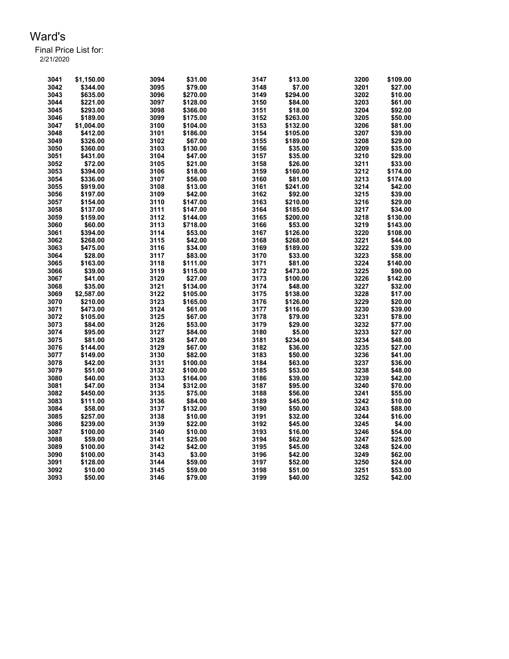| 3041         | \$1,150.00 | 3094 | \$31.00  | 3147 | \$13.00             | 3200 | \$109.00 |
|--------------|------------|------|----------|------|---------------------|------|----------|
| 3042         | \$344.00   | 3095 | \$79.00  | 3148 | \$7.00              | 3201 | \$27.00  |
| 3043         | \$635.00   | 3096 | \$270.00 | 3149 | \$294.00            | 3202 | \$10.00  |
| 3044         | \$221.00   | 3097 | \$128.00 | 3150 | \$84.00             | 3203 | \$61.00  |
| 3045         | \$293.00   | 3098 | \$366.00 | 3151 | \$18.00             | 3204 | \$92.00  |
| 3046         | \$189.00   | 3099 | \$175.00 | 3152 | \$263.00            | 3205 | \$50.00  |
| 3047         | \$1,004.00 | 3100 | \$104.00 | 3153 | \$132.00            | 3206 | \$81.00  |
| 3048         | \$412.00   | 3101 | \$186.00 | 3154 | \$105.00            | 3207 | \$39.00  |
| 3049         | \$326.00   | 3102 | \$67.00  | 3155 | \$189.00            | 3208 | \$29.00  |
| 3050         | \$360.00   | 3103 | \$130.00 | 3156 | \$35.00             | 3209 | \$35.00  |
| 3051         | \$431.00   | 3104 | \$47.00  | 3157 | \$35.00             | 3210 | \$29.00  |
| 3052         | \$72.00    | 3105 | \$21.00  | 3158 | \$26.00             | 3211 | \$33.00  |
| 3053         | \$394.00   | 3106 | \$18.00  | 3159 | \$160.00            | 3212 | \$174.00 |
| 3054         | \$336.00   | 3107 | \$56.00  | 3160 | \$81.00             | 3213 | \$174.00 |
| 3055         | \$919.00   | 3108 | \$13.00  | 3161 | \$241.00            | 3214 | \$42.00  |
| 3056         | \$197.00   | 3109 | \$42.00  | 3162 | \$92.00             | 3215 | \$39.00  |
| 3057         | \$154.00   | 3110 | \$147.00 | 3163 | \$210.00            | 3216 | \$29.00  |
| 3058         | \$137.00   | 3111 | \$147.00 | 3164 | \$185.00            | 3217 | \$34.00  |
| 3059         | \$159.00   | 3112 | \$144.00 | 3165 | \$200.00            | 3218 | \$130.00 |
| 3060         | \$60.00    | 3113 | \$718.00 | 3166 | \$53.00             | 3219 | \$143.00 |
| 3061         | \$394.00   | 3114 | \$53.00  | 3167 | \$126.00            | 3220 | \$108.00 |
| 3062         | \$268.00   | 3115 | \$42.00  | 3168 | \$268.00            | 3221 | \$44.00  |
| 3063         | \$475.00   | 3116 | \$34.00  | 3169 | \$189.00            | 3222 | \$39.00  |
| 3064         | \$28.00    | 3117 | \$83.00  | 3170 | \$33.00             | 3223 | \$58.00  |
| 3065         | \$163.00   | 3118 | \$111.00 | 3171 | \$81.00             | 3224 | \$140.00 |
| 3066         | \$39.00    | 3119 | \$115.00 | 3172 | \$473.00            | 3225 | \$90.00  |
| 3067         | \$41.00    | 3120 | \$27.00  | 3173 | \$100.00            | 3226 | \$142.00 |
| 3068         | \$35.00    | 3121 | \$134.00 | 3174 | \$48.00             | 3227 | \$32.00  |
| 3069         | \$2,587.00 | 3122 | \$105.00 | 3175 | \$138.00            | 3228 | \$17.00  |
| 3070         | \$210.00   | 3123 | \$165.00 | 3176 | \$126.00            | 3229 | \$20.00  |
| 3071         | \$473.00   | 3124 | \$61.00  | 3177 | \$116.00            | 3230 | \$39.00  |
| 3072         | \$105.00   | 3125 | \$67.00  | 3178 | \$79.00             | 3231 | \$78.00  |
| 3073         | \$84.00    | 3126 | \$53.00  | 3179 | \$29.00             | 3232 | \$77.00  |
| 3074         | \$95.00    | 3127 | \$84.00  | 3180 | \$5.00              | 3233 | \$27.00  |
|              | \$81.00    | 3128 | \$47.00  | 3181 |                     | 3234 | \$48.00  |
| 3075         |            | 3129 |          | 3182 | \$234.00<br>\$36.00 | 3235 | \$27.00  |
| 3076<br>3077 | \$144.00   | 3130 | \$67.00  | 3183 |                     | 3236 |          |
|              | \$149.00   |      | \$82.00  |      | \$50.00             |      | \$41.00  |
| 3078         | \$42.00    | 3131 | \$100.00 | 3184 | \$63.00             | 3237 | \$36.00  |
| 3079         | \$51.00    | 3132 | \$100.00 | 3185 | \$53.00             | 3238 | \$48.00  |
| 3080         | \$40.00    | 3133 | \$164.00 | 3186 | \$39.00             | 3239 | \$42.00  |
| 3081         | \$47.00    | 3134 | \$312.00 | 3187 | \$95.00             | 3240 | \$70.00  |
| 3082         | \$450.00   | 3135 | \$75.00  | 3188 | \$56.00             | 3241 | \$55.00  |
| 3083         | \$111.00   | 3136 | \$84.00  | 3189 | \$45.00             | 3242 | \$10.00  |
| 3084         | \$58.00    | 3137 | \$132.00 | 3190 | \$50.00             | 3243 | \$88.00  |
| 3085         | \$257.00   | 3138 | \$10.00  | 3191 | \$32.00             | 3244 | \$16.00  |
| 3086         | \$239.00   | 3139 | \$22.00  | 3192 | \$45.00             | 3245 | \$4.00   |
| 3087         | \$100.00   | 3140 | \$10.00  | 3193 | \$16.00             | 3246 | \$54.00  |
| 3088         | \$59.00    | 3141 | \$25.00  | 3194 | \$62.00             | 3247 | \$25.00  |
| 3089         | \$100.00   | 3142 | \$42.00  | 3195 | \$45.00             | 3248 | \$24.00  |
| 3090         | \$100.00   | 3143 | \$3.00   | 3196 | \$42.00             | 3249 | \$62.00  |
| 3091         | \$128.00   | 3144 | \$59.00  | 3197 | \$52.00             | 3250 | \$24.00  |
| 3092         | \$10.00    | 3145 | \$59.00  | 3198 | \$51.00             | 3251 | \$53.00  |
| 3093         | \$50.00    | 3146 | \$79.00  | 3199 | \$40.00             | 3252 | \$42.00  |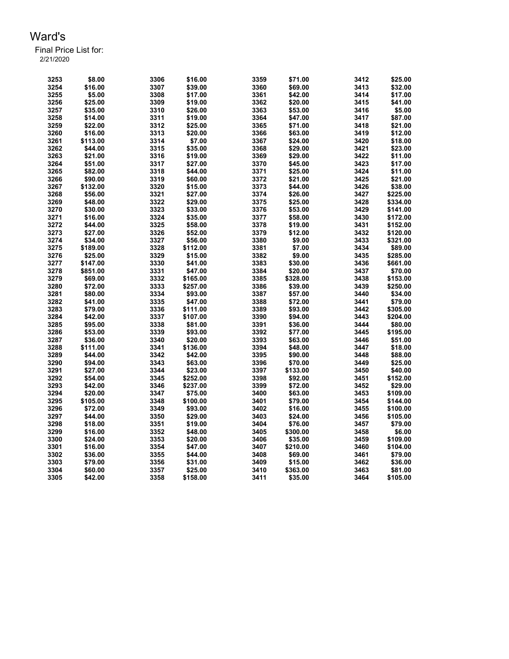| 3253 | \$8.00              | 3306 | \$16.00             | 3359 | \$71.00            | 3412 | \$25.00            |
|------|---------------------|------|---------------------|------|--------------------|------|--------------------|
| 3254 | \$16.00             | 3307 | \$39.00             | 3360 | \$69.00            | 3413 | \$32.00            |
| 3255 | \$5.00              | 3308 | \$17.00             | 3361 | \$42.00            | 3414 | \$17.00            |
| 3256 | \$25.00             | 3309 | \$19.00             | 3362 | \$20.00            | 3415 | \$41.00            |
| 3257 | \$35.00             | 3310 | \$26.00             | 3363 | \$53.00            | 3416 | \$5.00             |
| 3258 | \$14.00             | 3311 | \$19.00             | 3364 | \$47.00            | 3417 | \$87.00            |
| 3259 | \$22.00             | 3312 | \$25.00             | 3365 | \$71.00            | 3418 | \$21.00            |
| 3260 | \$16.00             | 3313 | \$20.00             | 3366 | \$63.00            | 3419 | \$12.00            |
| 3261 | \$113.00            | 3314 | \$7.00              | 3367 | \$24.00            | 3420 | \$18.00            |
| 3262 | \$44.00             | 3315 | \$35.00             | 3368 | \$29.00            | 3421 | \$23.00            |
| 3263 | \$21.00             | 3316 | \$19.00             | 3369 | \$29.00            | 3422 | \$11.00            |
| 3264 | \$51.00             | 3317 | \$27.00             | 3370 | \$45.00            | 3423 | \$17.00            |
| 3265 | \$82.00             | 3318 | \$44.00             | 3371 | \$25.00            | 3424 | \$11.00            |
| 3266 | \$90.00             | 3319 | \$60.00             | 3372 | \$21.00            | 3425 | \$21.00            |
| 3267 | \$132.00            | 3320 | \$15.00             | 3373 | \$44.00            | 3426 | \$38.00            |
| 3268 | \$56.00             | 3321 | \$27.00             | 3374 | \$26.00            | 3427 | \$225.00           |
| 3269 | \$48.00             | 3322 | \$29.00             | 3375 | \$25.00            | 3428 | \$334.00           |
| 3270 | \$30.00             | 3323 | \$33.00             | 3376 | \$53.00            | 3429 | \$141.00           |
| 3271 | \$16.00             | 3324 | \$35.00             | 3377 | \$58.00            | 3430 | \$172.00           |
| 3272 | \$44.00             | 3325 | \$58.00             | 3378 | \$19.00            | 3431 | \$152.00           |
| 3273 | \$27.00             | 3326 | \$52.00             | 3379 | \$12.00            | 3432 | \$120.00           |
| 3274 | \$34.00             | 3327 | \$56.00             | 3380 | \$9.00             | 3433 | \$321.00           |
| 3275 | \$189.00            | 3328 | \$112.00            | 3381 | \$7.00             | 3434 | \$89.00            |
| 3276 | \$25.00             | 3329 | \$15.00             | 3382 | \$9.00             | 3435 | \$285.00           |
| 3277 | \$147.00            | 3330 | \$41.00             | 3383 | \$30.00            | 3436 | \$661.00           |
| 3278 | \$851.00            | 3331 | \$47.00             | 3384 | \$20.00            | 3437 | \$70.00            |
| 3279 | \$69.00             | 3332 | \$165.00            | 3385 | \$328.00           | 3438 | \$153.00           |
| 3280 | \$72.00             | 3333 | \$257.00            | 3386 | \$39.00            | 3439 | \$250.00           |
| 3281 | \$80.00             | 3334 | \$93.00             | 3387 | \$57.00            | 3440 | \$34.00            |
| 3282 | \$41.00             | 3335 | \$47.00             | 3388 | \$72.00            | 3441 | \$79.00            |
| 3283 | \$79.00             | 3336 | \$111.00            | 3389 | \$93.00            | 3442 | \$305.00           |
| 3284 | \$42.00             | 3337 | \$107.00            | 3390 | \$94.00            | 3443 | \$204.00           |
| 3285 | \$95.00             | 3338 | \$81.00             | 3391 | \$36.00            | 3444 | \$80.00            |
| 3286 | \$53.00             | 3339 | \$93.00             | 3392 | \$77.00            | 3445 | \$195.00           |
| 3287 |                     | 3340 | \$20.00             | 3393 | \$63.00            | 3446 | \$51.00            |
| 3288 | \$36.00<br>\$111.00 | 3341 |                     | 3394 |                    | 3447 |                    |
| 3289 | \$44.00             | 3342 | \$136.00<br>\$42.00 | 3395 | \$48.00<br>\$90.00 | 3448 | \$18.00<br>\$88.00 |
| 3290 |                     | 3343 |                     | 3396 |                    |      |                    |
|      | \$94.00             |      | \$63.00             |      | \$70.00            | 3449 | \$25.00            |
| 3291 | \$27.00             | 3344 | \$23.00             | 3397 | \$133.00           | 3450 | \$40.00            |
| 3292 | \$54.00             | 3345 | \$252.00            | 3398 | \$92.00            | 3451 | \$152.00           |
| 3293 | \$42.00             | 3346 | \$237.00            | 3399 | \$72.00            | 3452 | \$29.00            |
| 3294 | \$20.00             | 3347 | \$75.00             | 3400 | \$63.00            | 3453 | \$109.00           |
| 3295 | \$105.00            | 3348 | \$100.00            | 3401 | \$79.00            | 3454 | \$144.00           |
| 3296 | \$72.00             | 3349 | \$93.00             | 3402 | \$16.00            | 3455 | \$100.00           |
| 3297 | \$44.00             | 3350 | \$29.00             | 3403 | \$24.00            | 3456 | \$105.00           |
| 3298 | \$18.00             | 3351 | \$19.00             | 3404 | \$76.00            | 3457 | \$79.00            |
| 3299 | \$16.00             | 3352 | \$48.00             | 3405 | \$300.00           | 3458 | \$6.00             |
| 3300 | \$24.00             | 3353 | \$20.00             | 3406 | \$35.00            | 3459 | \$109.00           |
| 3301 | \$16.00             | 3354 | \$47.00             | 3407 | \$210.00           | 3460 | \$104.00           |
| 3302 | \$36.00             | 3355 | \$44.00             | 3408 | \$69.00            | 3461 | \$79.00            |
| 3303 | \$79.00             | 3356 | \$31.00             | 3409 | \$15.00            | 3462 | \$36.00            |
| 3304 | \$60.00             | 3357 | \$25.00             | 3410 | \$363.00           | 3463 | \$81.00            |
| 3305 | \$42.00             | 3358 | \$158.00            | 3411 | \$35.00            | 3464 | \$105.00           |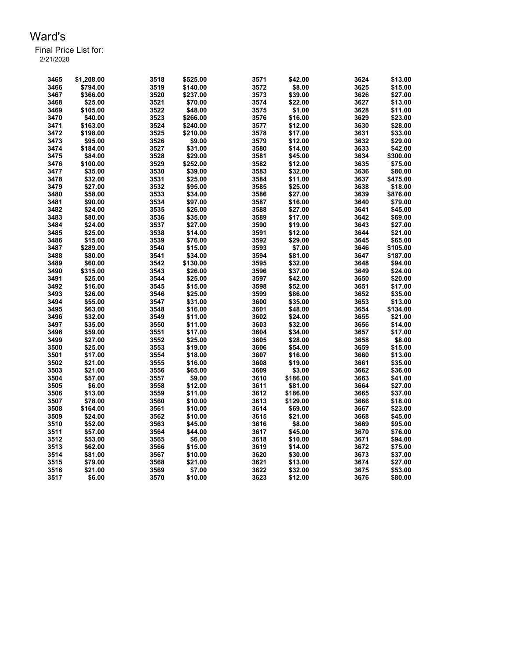| 3465 | \$1,208.00 | 3518 | \$525.00 | 3571 | \$42.00  | 3624 | \$13.00  |
|------|------------|------|----------|------|----------|------|----------|
| 3466 | \$794.00   | 3519 | \$140.00 | 3572 | \$8.00   | 3625 | \$15.00  |
| 3467 | \$366.00   | 3520 | \$237.00 | 3573 | \$39.00  | 3626 | \$27.00  |
| 3468 | \$25.00    | 3521 | \$70.00  | 3574 | \$22.00  | 3627 | \$13.00  |
| 3469 | \$105.00   | 3522 | \$48.00  | 3575 | \$1.00   | 3628 | \$11.00  |
| 3470 | \$40.00    | 3523 | \$266.00 | 3576 | \$16.00  | 3629 | \$23.00  |
| 3471 | \$163.00   | 3524 | \$240.00 | 3577 | \$12.00  | 3630 | \$28.00  |
| 3472 | \$198.00   | 3525 | \$210.00 | 3578 | \$17.00  | 3631 | \$33.00  |
| 3473 | \$95.00    | 3526 | \$9.00   | 3579 | \$12.00  | 3632 | \$29.00  |
| 3474 | \$184.00   | 3527 | \$31.00  | 3580 | \$14.00  | 3633 | \$42.00  |
| 3475 | \$84.00    | 3528 | \$29.00  | 3581 | \$45.00  | 3634 | \$300.00 |
| 3476 | \$100.00   | 3529 | \$252.00 | 3582 | \$12.00  | 3635 | \$75.00  |
| 3477 | \$35.00    | 3530 | \$39.00  | 3583 | \$32.00  | 3636 | \$80.00  |
| 3478 | \$32.00    | 3531 | \$25.00  | 3584 | \$11.00  | 3637 | \$475.00 |
| 3479 | \$27.00    | 3532 | \$95.00  | 3585 | \$25.00  | 3638 | \$18.00  |
| 3480 | \$58.00    | 3533 | \$34.00  | 3586 | \$27.00  | 3639 | \$876.00 |
| 3481 | \$90.00    | 3534 | \$97.00  | 3587 | \$16.00  | 3640 | \$79.00  |
| 3482 | \$24.00    | 3535 |          | 3588 | \$27.00  | 3641 | \$45.00  |
| 3483 | \$80.00    | 3536 | \$26.00  | 3589 |          | 3642 | \$69.00  |
|      |            |      | \$35.00  |      | \$17.00  |      |          |
| 3484 | \$24.00    | 3537 | \$27.00  | 3590 | \$19.00  | 3643 | \$27.00  |
| 3485 | \$25.00    | 3538 | \$14.00  | 3591 | \$12.00  | 3644 | \$21.00  |
| 3486 | \$15.00    | 3539 | \$76.00  | 3592 | \$29.00  | 3645 | \$65.00  |
| 3487 | \$289.00   | 3540 | \$15.00  | 3593 | \$7.00   | 3646 | \$105.00 |
| 3488 | \$80.00    | 3541 | \$34.00  | 3594 | \$81.00  | 3647 | \$187.00 |
| 3489 | \$60.00    | 3542 | \$130.00 | 3595 | \$32.00  | 3648 | \$94.00  |
| 3490 | \$315.00   | 3543 | \$26.00  | 3596 | \$37.00  | 3649 | \$24.00  |
| 3491 | \$25.00    | 3544 | \$25.00  | 3597 | \$42.00  | 3650 | \$20.00  |
| 3492 | \$16.00    | 3545 | \$15.00  | 3598 | \$52.00  | 3651 | \$17.00  |
| 3493 | \$26.00    | 3546 | \$25.00  | 3599 | \$86.00  | 3652 | \$35.00  |
| 3494 | \$55.00    | 3547 | \$31.00  | 3600 | \$35.00  | 3653 | \$13.00  |
| 3495 | \$63.00    | 3548 | \$16.00  | 3601 | \$48.00  | 3654 | \$134.00 |
| 3496 | \$32.00    | 3549 | \$11.00  | 3602 | \$24.00  | 3655 | \$21.00  |
| 3497 | \$35.00    | 3550 | \$11.00  | 3603 | \$32.00  | 3656 | \$14.00  |
| 3498 | \$59.00    | 3551 | \$17.00  | 3604 | \$34.00  | 3657 | \$17.00  |
| 3499 | \$27.00    | 3552 | \$25.00  | 3605 | \$28.00  | 3658 | \$8.00   |
| 3500 | \$25.00    | 3553 | \$19.00  | 3606 | \$54.00  | 3659 | \$15.00  |
| 3501 | \$17.00    | 3554 | \$18.00  | 3607 | \$16.00  | 3660 | \$13.00  |
| 3502 | \$21.00    | 3555 | \$16.00  | 3608 | \$19.00  | 3661 | \$35.00  |
| 3503 | \$21.00    | 3556 | \$65.00  | 3609 | \$3.00   | 3662 | \$36.00  |
| 3504 | \$57.00    | 3557 | \$9.00   | 3610 | \$186.00 | 3663 | \$41.00  |
| 3505 | \$6.00     | 3558 | \$12.00  | 3611 | \$81.00  | 3664 | \$27.00  |
| 3506 | \$13.00    | 3559 | \$11.00  | 3612 | \$186.00 | 3665 | \$37.00  |
| 3507 | \$78.00    | 3560 | \$10.00  | 3613 | \$129.00 | 3666 | \$18.00  |
| 3508 | \$164.00   | 3561 | \$10.00  | 3614 | \$69.00  | 3667 | \$23.00  |
| 3509 | \$24.00    | 3562 | \$10.00  | 3615 | \$21.00  | 3668 | \$45.00  |
| 3510 | \$52.00    | 3563 | \$45.00  | 3616 | \$8.00   | 3669 | \$95.00  |
| 3511 | \$57.00    | 3564 | \$44.00  | 3617 | \$45.00  | 3670 | \$76.00  |
| 3512 | \$53.00    | 3565 | \$6.00   | 3618 | \$10.00  | 3671 | \$94.00  |
| 3513 | \$62.00    | 3566 | \$15.00  | 3619 | \$14.00  | 3672 | \$75.00  |
| 3514 | \$81.00    | 3567 | \$10.00  | 3620 | \$30.00  | 3673 | \$37.00  |
| 3515 | \$79.00    | 3568 | \$21.00  | 3621 | \$13.00  | 3674 | \$27.00  |
| 3516 | \$21.00    | 3569 | \$7.00   | 3622 | \$32.00  | 3675 | \$53.00  |
| 3517 | \$6.00     | 3570 | \$10.00  | 3623 | \$12.00  | 3676 | \$80.00  |
|      |            |      |          |      |          |      |          |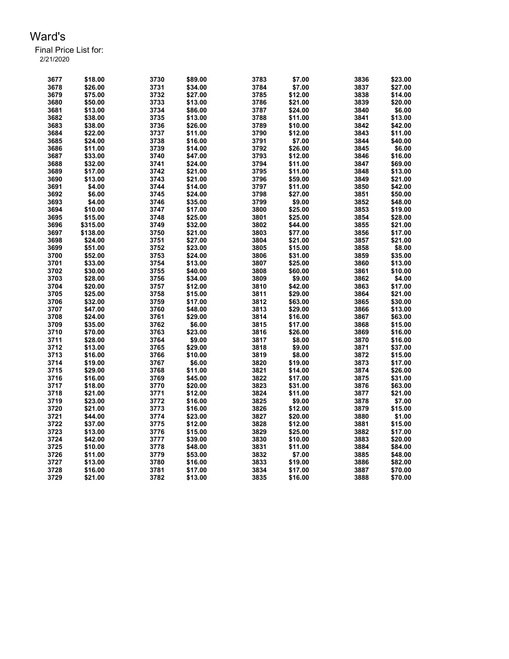| 3677         | \$18.00  | 3730 | \$89.00 | 3783 | \$7.00  | 3836 | \$23.00 |
|--------------|----------|------|---------|------|---------|------|---------|
| 3678         | \$26.00  | 3731 | \$34.00 | 3784 | \$7.00  | 3837 | \$27.00 |
| 3679         | \$75.00  | 3732 | \$27.00 | 3785 | \$12.00 | 3838 | \$14.00 |
| 3680         | \$50.00  | 3733 | \$13.00 | 3786 | \$21.00 | 3839 | \$20.00 |
| 3681         | \$13.00  | 3734 | \$86.00 | 3787 | \$24.00 | 3840 | \$6.00  |
| 3682         | \$38.00  | 3735 | \$13.00 | 3788 | \$11.00 | 3841 | \$13.00 |
| 3683         | \$38.00  | 3736 | \$26.00 | 3789 | \$10.00 | 3842 | \$42.00 |
| 3684         | \$22.00  | 3737 | \$11.00 | 3790 | \$12.00 | 3843 | \$11.00 |
| 3685         | \$24.00  | 3738 | \$16.00 | 3791 | \$7.00  | 3844 | \$40.00 |
| 3686         | \$11.00  | 3739 | \$14.00 | 3792 | \$26.00 | 3845 | \$6.00  |
| 3687         | \$33.00  | 3740 | \$47.00 | 3793 | \$12.00 | 3846 | \$16.00 |
| 3688         | \$32.00  | 3741 | \$24.00 | 3794 | \$11.00 | 3847 | \$69.00 |
| 3689         | \$17.00  | 3742 | \$21.00 | 3795 | \$11.00 | 3848 | \$13.00 |
|              |          |      |         |      |         |      |         |
| 3690         | \$13.00  | 3743 | \$21.00 | 3796 | \$59.00 | 3849 | \$21.00 |
| 3691         | \$4.00   | 3744 | \$14.00 | 3797 | \$11.00 | 3850 | \$42.00 |
| 3692         | \$6.00   | 3745 | \$24.00 | 3798 | \$27.00 | 3851 | \$50.00 |
| 3693         | \$4.00   | 3746 | \$35.00 | 3799 | \$9.00  | 3852 | \$48.00 |
| 3694         | \$10.00  | 3747 | \$17.00 | 3800 | \$25.00 | 3853 | \$19.00 |
| 3695         | \$15.00  | 3748 | \$25.00 | 3801 | \$25.00 | 3854 | \$28.00 |
| 3696         | \$315.00 | 3749 | \$32.00 | 3802 | \$44.00 | 3855 | \$21.00 |
| 3697         | \$138.00 | 3750 | \$21.00 | 3803 | \$77.00 | 3856 | \$17.00 |
| 3698         | \$24.00  | 3751 | \$27.00 | 3804 | \$21.00 | 3857 | \$21.00 |
| 3699         | \$51.00  | 3752 | \$23.00 | 3805 | \$15.00 | 3858 | \$8.00  |
| 3700         | \$52.00  | 3753 | \$24.00 | 3806 | \$31.00 | 3859 | \$35.00 |
| 3701         | \$33.00  | 3754 | \$13.00 | 3807 | \$25.00 | 3860 | \$13.00 |
| 3702         | \$30.00  | 3755 | \$40.00 | 3808 | \$60.00 | 3861 | \$10.00 |
| 3703         | \$28.00  | 3756 | \$34.00 | 3809 | \$9.00  | 3862 | \$4.00  |
| 3704         | \$20.00  | 3757 | \$12.00 | 3810 | \$42.00 | 3863 | \$17.00 |
| 3705         | \$25.00  | 3758 | \$15.00 | 3811 | \$29.00 | 3864 | \$21.00 |
| 3706         | \$32.00  | 3759 | \$17.00 | 3812 | \$63.00 | 3865 | \$30.00 |
| 3707         | \$47.00  | 3760 | \$48.00 | 3813 | \$29.00 | 3866 | \$13.00 |
| 3708         | \$24.00  | 3761 | \$29.00 | 3814 | \$16.00 | 3867 | \$63.00 |
| 3709         | \$35.00  | 3762 | \$6.00  | 3815 | \$17.00 | 3868 | \$15.00 |
| 3710         | \$70.00  | 3763 | \$23.00 | 3816 | \$26.00 | 3869 | \$16.00 |
| 3711         | \$28.00  | 3764 | \$9.00  | 3817 | \$8.00  | 3870 | \$16.00 |
| 3712         | \$13.00  | 3765 | \$29.00 | 3818 | \$9.00  | 3871 | \$37.00 |
| 3713         | \$16.00  | 3766 | \$10.00 | 3819 | \$8.00  | 3872 | \$15.00 |
| 3714         | \$19.00  | 3767 | \$6.00  | 3820 | \$19.00 | 3873 | \$17.00 |
| 3715         | \$29.00  | 3768 | \$11.00 | 3821 | \$14.00 | 3874 | \$26.00 |
| 3716         | \$16.00  | 3769 | \$45.00 | 3822 | \$17.00 | 3875 | \$31.00 |
| 3717         | \$18.00  | 3770 | \$20.00 | 3823 | \$31.00 | 3876 | \$63.00 |
| 3718         | \$21.00  | 3771 | \$12.00 | 3824 | \$11.00 | 3877 | \$21.00 |
| 3719         | \$23.00  | 3772 | \$16.00 | 3825 | \$9.00  | 3878 | \$7.00  |
|              | \$21.00  | 3773 | \$16.00 | 3826 | \$12.00 | 3879 | \$15.00 |
| 3720<br>3721 | \$44.00  |      |         | 3827 | \$20.00 | 3880 | \$1.00  |
|              |          | 3774 | \$23.00 |      |         |      |         |
| 3722         | \$37.00  | 3775 | \$12.00 | 3828 | \$12.00 | 3881 | \$15.00 |
| 3723         | \$13.00  | 3776 | \$15.00 | 3829 | \$25.00 | 3882 | \$17.00 |
| 3724         | \$42.00  | 3777 | \$39.00 | 3830 | \$10.00 | 3883 | \$20.00 |
| 3725         | \$10.00  | 3778 | \$48.00 | 3831 | \$11.00 | 3884 | \$84.00 |
| 3726         | \$11.00  | 3779 | \$53.00 | 3832 | \$7.00  | 3885 | \$48.00 |
| 3727         | \$13.00  | 3780 | \$16.00 | 3833 | \$19.00 | 3886 | \$82.00 |
| 3728         | \$16.00  | 3781 | \$17.00 | 3834 | \$17.00 | 3887 | \$70.00 |
| 3729         | \$21.00  | 3782 | \$13.00 | 3835 | \$16.00 | 3888 | \$70.00 |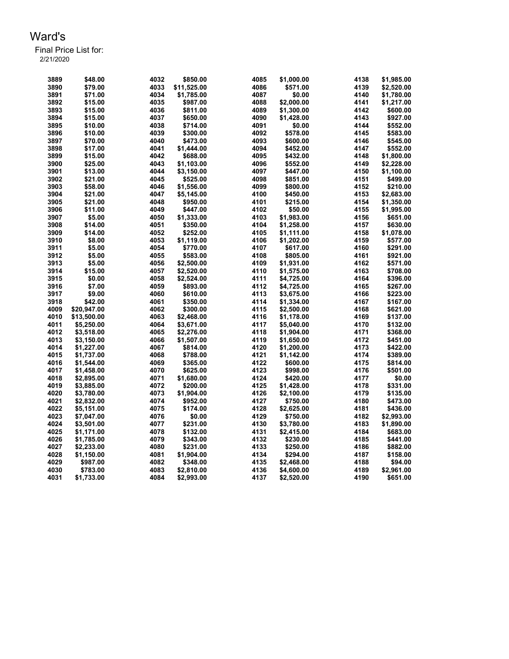| 3889 | \$48.00     | 4032 | \$850.00    | 4085 | \$1,000.00 | 4138 | \$1,985.00 |
|------|-------------|------|-------------|------|------------|------|------------|
| 3890 | \$79.00     | 4033 | \$11,525.00 | 4086 | \$571.00   | 4139 | \$2,520.00 |
| 3891 | \$71.00     | 4034 | \$1,785.00  | 4087 | \$0.00     | 4140 | \$1,780.00 |
| 3892 | \$15.00     | 4035 | \$987.00    | 4088 | \$2,000.00 | 4141 | \$1,217.00 |
| 3893 | \$15.00     | 4036 | \$811.00    | 4089 | \$1,300.00 | 4142 | \$600.00   |
| 3894 | \$15.00     | 4037 | \$650.00    | 4090 | \$1,428.00 | 4143 | \$927.00   |
| 3895 | \$10.00     | 4038 | \$714.00    | 4091 | \$0.00     | 4144 | \$552.00   |
| 3896 | \$10.00     | 4039 | \$300.00    | 4092 | \$578.00   | 4145 | \$583.00   |
| 3897 | \$70.00     | 4040 | \$473.00    | 4093 | \$600.00   | 4146 | \$545.00   |
| 3898 | \$17.00     | 4041 | \$1.444.00  | 4094 | \$452.00   | 4147 | \$552.00   |
| 3899 | \$15.00     | 4042 | \$688.00    | 4095 | \$432.00   | 4148 | \$1,800.00 |
| 3900 | \$25.00     | 4043 | \$1,103.00  | 4096 | \$552.00   | 4149 | \$2,228.00 |
| 3901 | \$13.00     | 4044 | \$3,150.00  | 4097 | \$447.00   | 4150 | \$1,100.00 |
| 3902 | \$21.00     | 4045 | \$525.00    | 4098 | \$851.00   | 4151 | \$499.00   |
| 3903 | \$58.00     | 4046 | \$1,556.00  | 4099 | \$800.00   | 4152 | \$210.00   |
| 3904 | \$21.00     | 4047 | \$5,145.00  | 4100 | \$450.00   | 4153 | \$2,683.00 |
| 3905 | \$21.00     | 4048 | \$950.00    | 4101 | \$215.00   | 4154 | \$1,350.00 |
| 3906 | \$11.00     | 4049 | \$447.00    | 4102 | \$50.00    | 4155 | \$1,995.00 |
|      |             |      |             | 4103 |            |      |            |
| 3907 | \$5.00      | 4050 | \$1,333.00  |      | \$1,983.00 | 4156 | \$651.00   |
| 3908 | \$14.00     | 4051 | \$350.00    | 4104 | \$1,258.00 | 4157 | \$630.00   |
| 3909 | \$14.00     | 4052 | \$252.00    | 4105 | \$1,111.00 | 4158 | \$1,078.00 |
| 3910 | \$8.00      | 4053 | \$1,119.00  | 4106 | \$1,202.00 | 4159 | \$577.00   |
| 3911 | \$5.00      | 4054 | \$770.00    | 4107 | \$617.00   | 4160 | \$291.00   |
| 3912 | \$5.00      | 4055 | \$583.00    | 4108 | \$805.00   | 4161 | \$921.00   |
| 3913 | \$5.00      | 4056 | \$2,500.00  | 4109 | \$1,931.00 | 4162 | \$571.00   |
| 3914 | \$15.00     | 4057 | \$2,520.00  | 4110 | \$1,575.00 | 4163 | \$708.00   |
| 3915 | \$0.00      | 4058 | \$2,524.00  | 4111 | \$4,725.00 | 4164 | \$396.00   |
| 3916 | \$7.00      | 4059 | \$893.00    | 4112 | \$4,725.00 | 4165 | \$267.00   |
| 3917 | \$9.00      | 4060 | \$610.00    | 4113 | \$3,675.00 | 4166 | \$223.00   |
| 3918 | \$42.00     | 4061 | \$350.00    | 4114 | \$1,334.00 | 4167 | \$167.00   |
| 4009 | \$20,947.00 | 4062 | \$300.00    | 4115 | \$2,500.00 | 4168 | \$621.00   |
| 4010 | \$13,500.00 | 4063 | \$2,468.00  | 4116 | \$1,178.00 | 4169 | \$137.00   |
| 4011 | \$5,250.00  | 4064 | \$3,671.00  | 4117 | \$5,040.00 | 4170 | \$132.00   |
| 4012 | \$3,518.00  | 4065 | \$2,276.00  | 4118 | \$1,904.00 | 4171 | \$368.00   |
| 4013 | \$3,150.00  | 4066 | \$1,507.00  | 4119 | \$1,650.00 | 4172 | \$451.00   |
| 4014 | \$1,227.00  | 4067 | \$814.00    | 4120 | \$1,200.00 | 4173 | \$422.00   |
| 4015 | \$1,737.00  | 4068 | \$788.00    | 4121 | \$1,142.00 | 4174 | \$389.00   |
| 4016 | \$1,544.00  | 4069 | \$365.00    | 4122 | \$600.00   | 4175 | \$814.00   |
| 4017 | \$1,458.00  | 4070 | \$625.00    | 4123 | \$998.00   | 4176 | \$501.00   |
| 4018 | \$2,895.00  | 4071 | \$1,680.00  | 4124 | \$420.00   | 4177 | \$0.00     |
| 4019 | \$3,885.00  | 4072 | \$200.00    | 4125 | \$1,428.00 | 4178 | \$331.00   |
| 4020 | \$3,780.00  | 4073 | \$1,904.00  | 4126 | \$2,100.00 | 4179 | \$135.00   |
| 4021 | \$2,832.00  | 4074 | \$952.00    | 4127 | \$750.00   | 4180 | \$473.00   |
| 4022 | \$5.151.00  | 4075 | \$174.00    | 4128 | \$2.625.00 | 4181 | \$436.00   |
| 4023 | \$7,047.00  | 4076 | \$0.00      | 4129 | \$750.00   | 4182 | \$2,993.00 |
| 4024 | \$3,501.00  | 4077 | \$231.00    | 4130 | \$3,780.00 | 4183 | \$1,890.00 |
| 4025 | \$1,171.00  | 4078 | \$132.00    | 4131 | \$2,415.00 | 4184 | \$683.00   |
| 4026 | \$1,785.00  | 4079 | \$343.00    | 4132 | \$230.00   | 4185 | \$441.00   |
| 4027 | \$2,233.00  | 4080 | \$231.00    | 4133 | \$250.00   | 4186 | \$882.00   |
| 4028 | \$1,150.00  | 4081 | \$1,904.00  | 4134 | \$294.00   | 4187 | \$158.00   |
| 4029 | \$987.00    | 4082 | \$348.00    | 4135 | \$2,468.00 | 4188 | \$94.00    |
| 4030 | \$783.00    | 4083 | \$2,810.00  | 4136 | \$4,600.00 | 4189 | \$2,961.00 |
| 4031 | \$1,733.00  | 4084 | \$2,993.00  | 4137 | \$2,520.00 | 4190 | \$651.00   |
|      |             |      |             |      |            |      |            |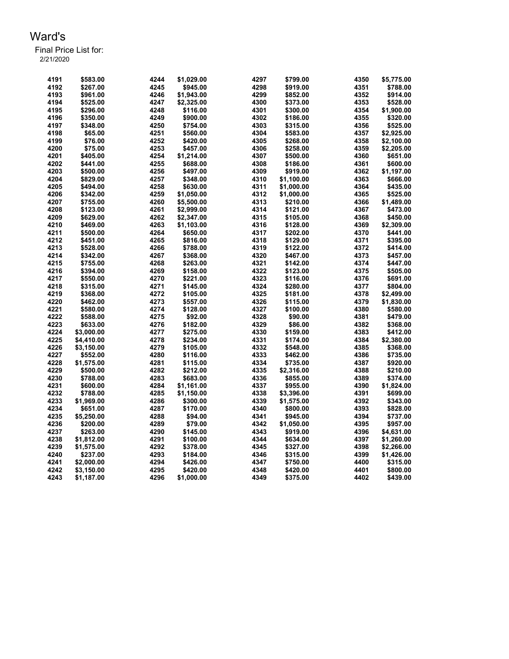| 4191 | \$583.00             | 4244 | \$1,029.00           | 4297 | \$799.00             | 4350         | \$5,775.00 |
|------|----------------------|------|----------------------|------|----------------------|--------------|------------|
| 4192 | \$267.00             | 4245 | \$945.00             | 4298 | \$919.00             | 4351         | \$788.00   |
| 4193 | \$961.00             | 4246 | \$1,943.00           | 4299 | \$852.00             | 4352         | \$914.00   |
| 4194 | \$525.00             | 4247 | \$2,325.00           | 4300 | \$373.00             | 4353         | \$528.00   |
| 4195 | \$296.00             | 4248 | \$116.00             | 4301 | \$300.00             | 4354         | \$1,900.00 |
| 4196 | \$350.00             | 4249 | \$900.00             | 4302 | \$186.00             | 4355         | \$320.00   |
| 4197 | \$348.00             | 4250 | \$754.00             | 4303 | \$315.00             | 4356         | \$525.00   |
| 4198 | \$65.00              | 4251 | \$560.00             | 4304 | \$583.00             | 4357         | \$2,925.00 |
| 4199 | \$76.00              | 4252 | \$420.00             | 4305 | \$268.00             | 4358         | \$2,100.00 |
| 4200 | \$75.00              | 4253 | \$457.00             | 4306 | \$258.00             | 4359         | \$2,205.00 |
| 4201 | \$405.00             | 4254 | \$1,214.00           | 4307 | \$500.00             | 4360         | \$651.00   |
| 4202 |                      | 4255 |                      | 4308 |                      |              | \$600.00   |
| 4203 | \$441.00<br>\$500.00 | 4256 | \$688.00<br>\$497.00 | 4309 | \$186.00<br>\$919.00 | 4361<br>4362 |            |
|      |                      |      |                      |      |                      |              | \$1,197.00 |
| 4204 | \$829.00             | 4257 | \$348.00             | 4310 | \$1,100.00           | 4363         | \$666.00   |
| 4205 | \$494.00             | 4258 | \$630.00             | 4311 | \$1,000.00           | 4364         | \$435.00   |
| 4206 | \$342.00             | 4259 | \$1,050.00           | 4312 | \$1,000.00           | 4365         | \$525.00   |
| 4207 | \$755.00             | 4260 | \$5,500.00           | 4313 | \$210.00             | 4366         | \$1,489.00 |
| 4208 | \$123.00             | 4261 | \$2,999.00           | 4314 | \$121.00             | 4367         | \$473.00   |
| 4209 | \$629.00             | 4262 | \$2,347.00           | 4315 | \$105.00             | 4368         | \$450.00   |
| 4210 | \$469.00             | 4263 | \$1,103.00           | 4316 | \$128.00             | 4369         | \$2,309.00 |
| 4211 | \$500.00             | 4264 | \$650.00             | 4317 | \$202.00             | 4370         | \$441.00   |
| 4212 | \$451.00             | 4265 | \$816.00             | 4318 | \$129.00             | 4371         | \$395.00   |
| 4213 | \$528.00             | 4266 | \$788.00             | 4319 | \$122.00             | 4372         | \$414.00   |
| 4214 | \$342.00             | 4267 | \$368.00             | 4320 | \$467.00             | 4373         | \$457.00   |
| 4215 | \$755.00             | 4268 | \$263.00             | 4321 | \$142.00             | 4374         | \$447.00   |
| 4216 | \$394.00             | 4269 | \$158.00             | 4322 | \$123.00             | 4375         | \$505.00   |
| 4217 | \$550.00             | 4270 | \$221.00             | 4323 | \$116.00             | 4376         | \$691.00   |
| 4218 | \$315.00             | 4271 | \$145.00             | 4324 | \$280.00             | 4377         | \$804.00   |
| 4219 | \$368.00             | 4272 | \$105.00             | 4325 | \$181.00             | 4378         | \$2,499.00 |
| 4220 | \$462.00             | 4273 | \$557.00             | 4326 | \$115.00             | 4379         | \$1,830.00 |
| 4221 | \$580.00             | 4274 | \$128.00             | 4327 | \$100.00             | 4380         | \$580.00   |
| 4222 | \$588.00             | 4275 | \$92.00              | 4328 | \$90.00              | 4381         | \$479.00   |
| 4223 | \$633.00             | 4276 | \$182.00             | 4329 | \$86.00              | 4382         | \$368.00   |
| 4224 | \$3,000.00           | 4277 | \$275.00             | 4330 | \$159.00             | 4383         | \$412.00   |
| 4225 | \$4,410.00           | 4278 | \$234.00             | 4331 | \$174.00             | 4384         | \$2,380.00 |
| 4226 | \$3,150.00           | 4279 | \$105.00             | 4332 | \$548.00             | 4385         | \$368.00   |
| 4227 | \$552.00             | 4280 | \$116.00             | 4333 | \$462.00             | 4386         | \$735.00   |
| 4228 | \$1,575.00           | 4281 | \$115.00             | 4334 | \$735.00             | 4387         | \$920.00   |
| 4229 | \$500.00             | 4282 | \$212.00             | 4335 | \$2,316.00           | 4388         | \$210.00   |
| 4230 | \$788.00             | 4283 | \$683.00             | 4336 | \$855.00             | 4389         | \$374.00   |
| 4231 | \$600.00             | 4284 | \$1,161.00           | 4337 | \$955.00             | 4390         | \$1,824.00 |
| 4232 | \$788.00             | 4285 | \$1,150.00           | 4338 | \$3,396.00           | 4391         | \$699.00   |
| 4233 | \$1,969.00           | 4286 | \$300.00             | 4339 | \$1,575.00           | 4392         | \$343.00   |
| 4234 | \$651.00             | 4287 | \$170.00             | 4340 | \$800.00             | 4393         | \$828.00   |
| 4235 |                      | 4288 |                      | 4341 |                      | 4394         |            |
|      | \$5,250.00           |      | \$94.00              |      | \$945.00             |              | \$737.00   |
| 4236 | \$200.00             | 4289 | \$79.00              | 4342 | \$1,050.00           | 4395         | \$957.00   |
| 4237 | \$263.00             | 4290 | \$145.00             | 4343 | \$919.00             | 4396         | \$4,631.00 |
| 4238 | \$1,812.00           | 4291 | \$100.00             | 4344 | \$634.00             | 4397         | \$1,260.00 |
| 4239 | \$1,575.00           | 4292 | \$378.00             | 4345 | \$327.00             | 4398         | \$2,266.00 |
| 4240 | \$237.00             | 4293 | \$184.00             | 4346 | \$315.00             | 4399         | \$1,426.00 |
| 4241 | \$2,000.00           | 4294 | \$426.00             | 4347 | \$750.00             | 4400         | \$315.00   |
| 4242 | \$3,150.00           | 4295 | \$420.00             | 4348 | \$420.00             | 4401         | \$800.00   |
| 4243 | \$1,187.00           | 4296 | \$1,000.00           | 4349 | \$375.00             | 4402         | \$439.00   |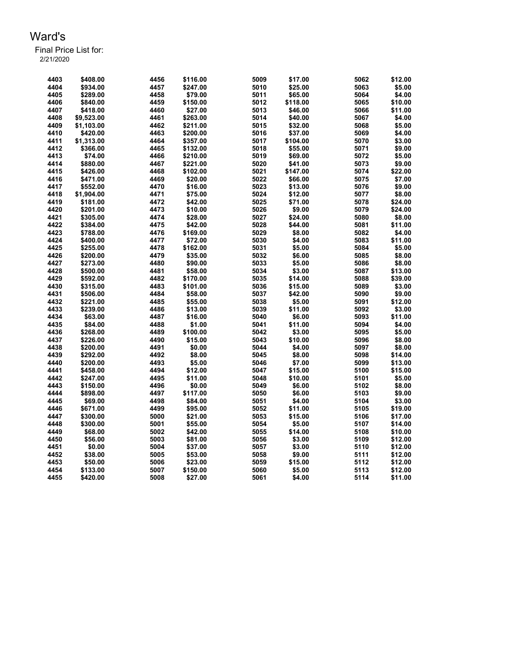| 4403         | \$408.00   | 4456 | \$116.00 | 5009 | \$17.00  | 5062 | \$12.00 |
|--------------|------------|------|----------|------|----------|------|---------|
| 4404         | \$934.00   | 4457 | \$247.00 | 5010 | \$25.00  | 5063 | \$5.00  |
| 4405         | \$289.00   | 4458 | \$79.00  | 5011 | \$65.00  | 5064 | \$4.00  |
| 4406         | \$840.00   | 4459 | \$150.00 | 5012 | \$118.00 | 5065 | \$10.00 |
| 4407         | \$418.00   | 4460 | \$27.00  | 5013 | \$46.00  | 5066 | \$11.00 |
| 4408         | \$9,523.00 | 4461 | \$263.00 | 5014 | \$40.00  | 5067 | \$4.00  |
| 4409         | \$1,103.00 | 4462 | \$211.00 | 5015 | \$32.00  | 5068 | \$5.00  |
| 4410         | \$420.00   | 4463 | \$200.00 | 5016 | \$37.00  | 5069 | \$4.00  |
| 4411         | \$1,313.00 | 4464 | \$357.00 | 5017 | \$104.00 | 5070 | \$3.00  |
| 4412         | \$366.00   | 4465 | \$132.00 | 5018 | \$55.00  | 5071 | \$9.00  |
| 4413         | \$74.00    | 4466 | \$210.00 | 5019 | \$69.00  | 5072 | \$5.00  |
| 4414         | \$880.00   | 4467 | \$221.00 | 5020 | \$41.00  | 5073 | \$9.00  |
| 4415         | \$426.00   | 4468 | \$102.00 | 5021 | \$147.00 | 5074 | \$22.00 |
| 4416         | \$471.00   | 4469 | \$20.00  | 5022 | \$66.00  | 5075 | \$7.00  |
| 4417         | \$552.00   | 4470 | \$16.00  | 5023 | \$13.00  | 5076 | \$9.00  |
| 4418         | \$1,904.00 | 4471 | \$75.00  | 5024 | \$12.00  | 5077 | \$8.00  |
| 4419         | \$181.00   | 4472 | \$42.00  | 5025 | \$71.00  | 5078 | \$24.00 |
| 4420         | \$201.00   | 4473 | \$10.00  | 5026 | \$9.00   | 5079 | \$24.00 |
| 4421         |            | 4474 | \$28.00  | 5027 | \$24.00  | 5080 | \$8.00  |
|              | \$305.00   |      |          |      |          |      |         |
| 4422<br>4423 | \$384.00   | 4475 | \$42.00  | 5028 | \$44.00  | 5081 | \$11.00 |
|              | \$788.00   | 4476 | \$169.00 | 5029 | \$8.00   | 5082 | \$4.00  |
| 4424         | \$400.00   | 4477 | \$72.00  | 5030 | \$4.00   | 5083 | \$11.00 |
| 4425         | \$255.00   | 4478 | \$162.00 | 5031 | \$5.00   | 5084 | \$5.00  |
| 4426         | \$200.00   | 4479 | \$35.00  | 5032 | \$6.00   | 5085 | \$8.00  |
| 4427         | \$273.00   | 4480 | \$90.00  | 5033 | \$5.00   | 5086 | \$8.00  |
| 4428         | \$500.00   | 4481 | \$58.00  | 5034 | \$3.00   | 5087 | \$13.00 |
| 4429         | \$592.00   | 4482 | \$170.00 | 5035 | \$14.00  | 5088 | \$39.00 |
| 4430         | \$315.00   | 4483 | \$101.00 | 5036 | \$15.00  | 5089 | \$3.00  |
| 4431         | \$506.00   | 4484 | \$58.00  | 5037 | \$42.00  | 5090 | \$9.00  |
| 4432         | \$221.00   | 4485 | \$55.00  | 5038 | \$5.00   | 5091 | \$12.00 |
| 4433         | \$239.00   | 4486 | \$13.00  | 5039 | \$11.00  | 5092 | \$3.00  |
| 4434         | \$63.00    | 4487 | \$16.00  | 5040 | \$6.00   | 5093 | \$11.00 |
| 4435         | \$84.00    | 4488 | \$1.00   | 5041 | \$11.00  | 5094 | \$4.00  |
| 4436         | \$268.00   | 4489 | \$100.00 | 5042 | \$3.00   | 5095 | \$5.00  |
| 4437         | \$226.00   | 4490 | \$15.00  | 5043 | \$10.00  | 5096 | \$8.00  |
| 4438         | \$200.00   | 4491 | \$0.00   | 5044 | \$4.00   | 5097 | \$8.00  |
| 4439         | \$292.00   | 4492 | \$8.00   | 5045 | \$8.00   | 5098 | \$14.00 |
| 4440         | \$200.00   | 4493 | \$5.00   | 5046 | \$7.00   | 5099 | \$13.00 |
| 4441         | \$458.00   | 4494 | \$12.00  | 5047 | \$15.00  | 5100 | \$15.00 |
| 4442         | \$247.00   | 4495 | \$11.00  | 5048 | \$10.00  | 5101 | \$5.00  |
| 4443         | \$150.00   | 4496 | \$0.00   | 5049 | \$6.00   | 5102 | \$8.00  |
| 4444         | \$898.00   | 4497 | \$117.00 | 5050 | \$6.00   | 5103 | \$9.00  |
| 4445         | \$69.00    | 4498 | \$84.00  | 5051 | \$4.00   | 5104 | \$3.00  |
| 4446         | \$671.00   | 4499 | \$95.00  | 5052 | \$11.00  | 5105 | \$19.00 |
| 4447         | \$300.00   | 5000 | \$21.00  | 5053 | \$15.00  | 5106 | \$17.00 |
| 4448         | \$300.00   | 5001 | \$55.00  | 5054 | \$5.00   | 5107 | \$14.00 |
| 4449         | \$68.00    | 5002 | \$42.00  | 5055 | \$14.00  | 5108 | \$10.00 |
| 4450         | \$56.00    | 5003 | \$81.00  | 5056 | \$3.00   | 5109 | \$12.00 |
| 4451         | \$0.00     | 5004 | \$37.00  | 5057 | \$3.00   | 5110 | \$12.00 |
| 4452         | \$38.00    | 5005 | \$53.00  | 5058 | \$9.00   | 5111 | \$12.00 |
| 4453         | \$50.00    | 5006 | \$23.00  | 5059 | \$15.00  | 5112 | \$12.00 |
| 4454         | \$133.00   | 5007 | \$150.00 | 5060 | \$5.00   | 5113 | \$12.00 |
| 4455         | \$420.00   | 5008 | \$27.00  | 5061 | \$4.00   | 5114 | \$11.00 |
|              |            |      |          |      |          |      |         |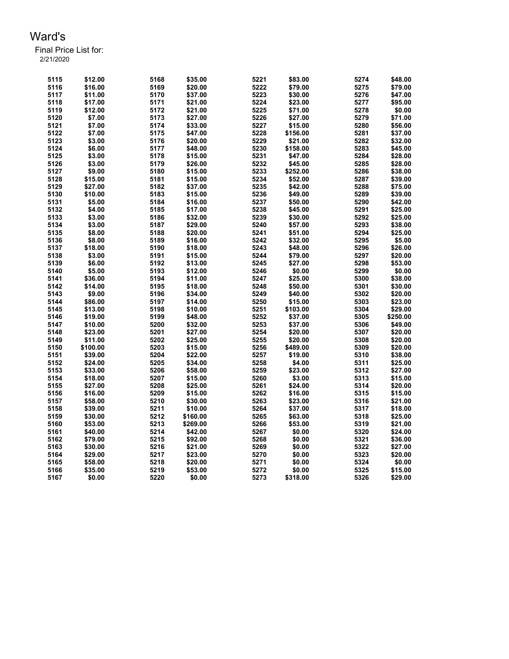| 5115 | \$12.00  | 5168 | \$35.00  | 5221 | \$83.00  | 5274 | \$48.00  |
|------|----------|------|----------|------|----------|------|----------|
| 5116 | \$16.00  | 5169 | \$20.00  | 5222 | \$79.00  | 5275 | \$79.00  |
| 5117 | \$11.00  | 5170 | \$37.00  | 5223 | \$30.00  | 5276 | \$47.00  |
| 5118 | \$17.00  | 5171 | \$21.00  | 5224 | \$23.00  | 5277 | \$95.00  |
| 5119 | \$12.00  | 5172 | \$21.00  | 5225 | \$71.00  | 5278 | \$0.00   |
| 5120 | \$7.00   | 5173 | \$27.00  | 5226 | \$27.00  | 5279 | \$71.00  |
| 5121 | \$7.00   | 5174 | \$33.00  | 5227 | \$15.00  | 5280 | \$56.00  |
| 5122 | \$7.00   | 5175 | \$47.00  | 5228 | \$156.00 | 5281 | \$37.00  |
| 5123 | \$3.00   | 5176 | \$20.00  | 5229 | \$21.00  | 5282 | \$32.00  |
| 5124 | \$6.00   | 5177 | \$48.00  | 5230 | \$158.00 | 5283 | \$45.00  |
| 5125 | \$3.00   | 5178 | \$15.00  | 5231 | \$47.00  | 5284 | \$28.00  |
| 5126 | \$3.00   | 5179 | \$26.00  | 5232 | \$45.00  | 5285 | \$28.00  |
| 5127 | \$9.00   | 5180 | \$15.00  | 5233 | \$252.00 | 5286 | \$38.00  |
| 5128 | \$15.00  | 5181 | \$15.00  | 5234 | \$52.00  | 5287 | \$39.00  |
| 5129 | \$27.00  | 5182 | \$37.00  | 5235 | \$42.00  | 5288 | \$75.00  |
| 5130 | \$10.00  | 5183 | \$15.00  | 5236 | \$49.00  | 5289 | \$39.00  |
| 5131 | \$5.00   | 5184 | \$16.00  | 5237 | \$50.00  | 5290 | \$42.00  |
| 5132 | \$4.00   | 5185 | \$17.00  | 5238 | \$45.00  | 5291 | \$25.00  |
| 5133 | \$3.00   | 5186 | \$32.00  | 5239 | \$30.00  | 5292 | \$25.00  |
| 5134 | \$3.00   | 5187 | \$29.00  | 5240 | \$57.00  | 5293 | \$38.00  |
| 5135 | \$8.00   | 5188 | \$20.00  | 5241 | \$51.00  | 5294 | \$25.00  |
| 5136 | \$8.00   | 5189 | \$16.00  | 5242 | \$32.00  | 5295 | \$5.00   |
| 5137 | \$18.00  | 5190 | \$18.00  | 5243 | \$48.00  | 5296 | \$26.00  |
| 5138 | \$3.00   | 5191 | \$15.00  | 5244 | \$79.00  | 5297 | \$20.00  |
| 5139 | \$6.00   | 5192 | \$13.00  | 5245 | \$27.00  | 5298 | \$53.00  |
| 5140 | \$5.00   | 5193 | \$12.00  | 5246 | \$0.00   | 5299 | \$0.00   |
| 5141 | \$36.00  | 5194 | \$11.00  | 5247 | \$25.00  | 5300 | \$38.00  |
| 5142 | \$14.00  | 5195 | \$18.00  | 5248 | \$50.00  | 5301 | \$30.00  |
| 5143 | \$9.00   | 5196 | \$34.00  | 5249 | \$40.00  | 5302 | \$20.00  |
| 5144 | \$86.00  | 5197 | \$14.00  | 5250 | \$15.00  | 5303 | \$23.00  |
| 5145 | \$13.00  | 5198 | \$10.00  | 5251 | \$103.00 | 5304 | \$29.00  |
| 5146 | \$19.00  | 5199 | \$48.00  | 5252 | \$37.00  | 5305 | \$250.00 |
| 5147 | \$10.00  | 5200 | \$32.00  | 5253 | \$37.00  | 5306 | \$49.00  |
| 5148 | \$23.00  | 5201 | \$27.00  | 5254 | \$20.00  | 5307 | \$20.00  |
| 5149 | \$11.00  | 5202 | \$25.00  | 5255 | \$20.00  | 5308 | \$20.00  |
| 5150 | \$100.00 | 5203 | \$15.00  | 5256 | \$489.00 | 5309 | \$20.00  |
| 5151 | \$39.00  | 5204 | \$22.00  | 5257 | \$19.00  | 5310 | \$38.00  |
| 5152 | \$24.00  | 5205 | \$34.00  | 5258 | \$4.00   | 5311 | \$25.00  |
| 5153 | \$33.00  | 5206 | \$58.00  | 5259 | \$23.00  | 5312 | \$27.00  |
| 5154 | \$18.00  | 5207 | \$15.00  | 5260 | \$3.00   | 5313 | \$15.00  |
| 5155 | \$27.00  | 5208 | \$25.00  | 5261 | \$24.00  | 5314 | \$20.00  |
| 5156 | \$16.00  | 5209 | \$15.00  | 5262 | \$16.00  | 5315 | \$15.00  |
| 5157 | \$58.00  | 5210 | \$30.00  | 5263 | \$23.00  | 5316 | \$21.00  |
| 5158 | \$39.00  | 5211 | \$10.00  | 5264 | \$37.00  | 5317 | \$18.00  |
| 5159 | \$30.00  | 5212 | \$160.00 | 5265 | \$63.00  | 5318 | \$25.00  |
| 5160 | \$53.00  | 5213 | \$269.00 | 5266 | \$53.00  | 5319 | \$21.00  |
| 5161 | \$40.00  | 5214 | \$42.00  | 5267 | \$0.00   | 5320 | \$24.00  |
| 5162 | \$79.00  | 5215 | \$92.00  | 5268 | \$0.00   | 5321 | \$36.00  |
| 5163 | \$30.00  | 5216 | \$21.00  | 5269 | \$0.00   | 5322 | \$27.00  |
| 5164 | \$29.00  | 5217 | \$23.00  | 5270 | \$0.00   | 5323 | \$20.00  |
| 5165 | \$58.00  | 5218 | \$20.00  | 5271 | \$0.00   | 5324 | \$0.00   |
| 5166 | \$35.00  | 5219 | \$53.00  | 5272 | \$0.00   | 5325 | \$15.00  |
| 5167 | \$0.00   | 5220 | \$0.00   | 5273 | \$318.00 | 5326 | \$29.00  |
|      |          |      |          |      |          |      |          |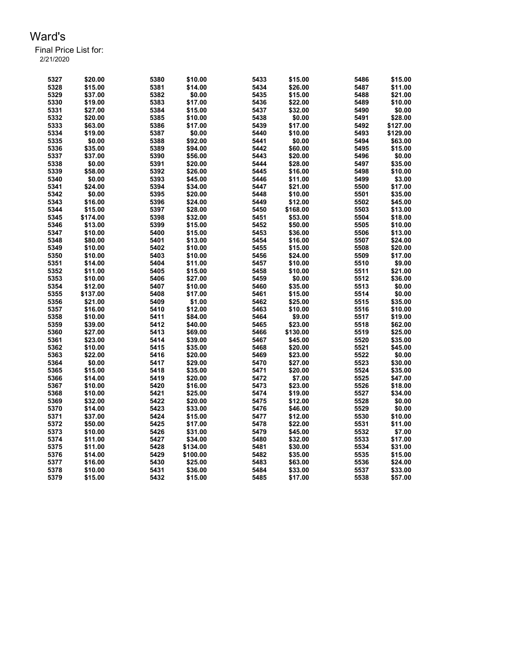| 5327 | \$20.00  | 5380 | \$10.00  | 5433 | \$15.00  | 5486 | \$15.00  |
|------|----------|------|----------|------|----------|------|----------|
| 5328 | \$15.00  | 5381 | \$14.00  | 5434 | \$26.00  | 5487 | \$11.00  |
| 5329 | \$37.00  | 5382 | \$0.00   | 5435 | \$15.00  | 5488 | \$21.00  |
| 5330 | \$19.00  | 5383 | \$17.00  | 5436 | \$22.00  | 5489 | \$10.00  |
| 5331 | \$27.00  | 5384 | \$15.00  | 5437 | \$32.00  | 5490 | \$0.00   |
| 5332 | \$20.00  | 5385 | \$10.00  | 5438 | \$0.00   | 5491 | \$28.00  |
| 5333 | \$63.00  | 5386 | \$17.00  | 5439 | \$17.00  | 5492 | \$127.00 |
| 5334 | \$19.00  | 5387 | \$0.00   | 5440 | \$10.00  | 5493 | \$129.00 |
| 5335 | \$0.00   | 5388 | \$92.00  | 5441 | \$0.00   | 5494 | \$63.00  |
| 5336 | \$35.00  | 5389 | \$94.00  | 5442 | \$60.00  | 5495 | \$15.00  |
| 5337 | \$37.00  | 5390 | \$56.00  | 5443 | \$20.00  | 5496 | \$0.00   |
| 5338 | \$0.00   | 5391 | \$20.00  | 5444 | \$28.00  | 5497 | \$35.00  |
| 5339 | \$58.00  | 5392 | \$26.00  | 5445 | \$16.00  | 5498 | \$10.00  |
|      |          |      |          |      |          |      |          |
| 5340 | \$0.00   | 5393 | \$45.00  | 5446 | \$11.00  | 5499 | \$3.00   |
| 5341 | \$24.00  | 5394 | \$34.00  | 5447 | \$21.00  | 5500 | \$17.00  |
| 5342 | \$0.00   | 5395 | \$20.00  | 5448 | \$10.00  | 5501 | \$35.00  |
| 5343 | \$16.00  | 5396 | \$24.00  | 5449 | \$12.00  | 5502 | \$45.00  |
| 5344 | \$15.00  | 5397 | \$28.00  | 5450 | \$168.00 | 5503 | \$13.00  |
| 5345 | \$174.00 | 5398 | \$32.00  | 5451 | \$53.00  | 5504 | \$18.00  |
| 5346 | \$13.00  | 5399 | \$15.00  | 5452 | \$50.00  | 5505 | \$10.00  |
| 5347 | \$10.00  | 5400 | \$15.00  | 5453 | \$36.00  | 5506 | \$13.00  |
| 5348 | \$80.00  | 5401 | \$13.00  | 5454 | \$16.00  | 5507 | \$24.00  |
| 5349 | \$10.00  | 5402 | \$10.00  | 5455 | \$15.00  | 5508 | \$20.00  |
| 5350 | \$10.00  | 5403 | \$10.00  | 5456 | \$24.00  | 5509 | \$17.00  |
| 5351 | \$14.00  | 5404 | \$11.00  | 5457 | \$10.00  | 5510 | \$9.00   |
| 5352 | \$11.00  | 5405 | \$15.00  | 5458 | \$10.00  | 5511 | \$21.00  |
| 5353 | \$10.00  | 5406 | \$27.00  | 5459 | \$0.00   | 5512 | \$36.00  |
| 5354 | \$12.00  | 5407 | \$10.00  | 5460 | \$35.00  | 5513 | \$0.00   |
| 5355 | \$137.00 | 5408 | \$17.00  | 5461 | \$15.00  | 5514 | \$0.00   |
| 5356 | \$21.00  | 5409 | \$1.00   | 5462 | \$25.00  | 5515 | \$35.00  |
| 5357 | \$16.00  | 5410 | \$12.00  | 5463 | \$10.00  | 5516 | \$10.00  |
| 5358 | \$10.00  | 5411 | \$84.00  | 5464 | \$9.00   | 5517 | \$19.00  |
| 5359 | \$39.00  | 5412 | \$40.00  | 5465 | \$23.00  | 5518 | \$62.00  |
| 5360 | \$27.00  | 5413 | \$69.00  | 5466 | \$130.00 | 5519 | \$25.00  |
| 5361 | \$23.00  | 5414 | \$39.00  | 5467 | \$45.00  | 5520 | \$35.00  |
| 5362 | \$10.00  | 5415 | \$35.00  | 5468 | \$20.00  | 5521 | \$45.00  |
| 5363 | \$22.00  | 5416 | \$20.00  | 5469 | \$23.00  | 5522 | \$0.00   |
| 5364 | \$0.00   | 5417 | \$29.00  | 5470 | \$27.00  | 5523 | \$30.00  |
| 5365 | \$15.00  | 5418 | \$35.00  | 5471 | \$20.00  | 5524 | \$35.00  |
| 5366 | \$14.00  | 5419 | \$20.00  | 5472 | \$7.00   | 5525 | \$47.00  |
| 5367 | \$10.00  | 5420 | \$16.00  | 5473 | \$23.00  | 5526 | \$18.00  |
| 5368 | \$10.00  | 5421 | \$25.00  | 5474 | \$19.00  | 5527 | \$34.00  |
| 5369 | \$32.00  | 5422 | \$20.00  | 5475 | \$12.00  | 5528 | \$0.00   |
|      |          |      |          | 5476 |          | 5529 | \$0.00   |
| 5370 | \$14.00  | 5423 | \$33.00  |      | \$46.00  |      |          |
| 5371 | \$37.00  | 5424 | \$15.00  | 5477 | \$12.00  | 5530 | \$10.00  |
| 5372 | \$50.00  | 5425 | \$17.00  | 5478 | \$22.00  | 5531 | \$11.00  |
| 5373 | \$10.00  | 5426 | \$31.00  | 5479 | \$45.00  | 5532 | \$7.00   |
| 5374 | \$11.00  | 5427 | \$34.00  | 5480 | \$32.00  | 5533 | \$17.00  |
| 5375 | \$11.00  | 5428 | \$134.00 | 5481 | \$30.00  | 5534 | \$31.00  |
| 5376 | \$14.00  | 5429 | \$100.00 | 5482 | \$35.00  | 5535 | \$15.00  |
| 5377 | \$16.00  | 5430 | \$25.00  | 5483 | \$63.00  | 5536 | \$24.00  |
| 5378 | \$10.00  | 5431 | \$36.00  | 5484 | \$33.00  | 5537 | \$33.00  |
| 5379 | \$15.00  | 5432 | \$15.00  | 5485 | \$17.00  | 5538 | \$57.00  |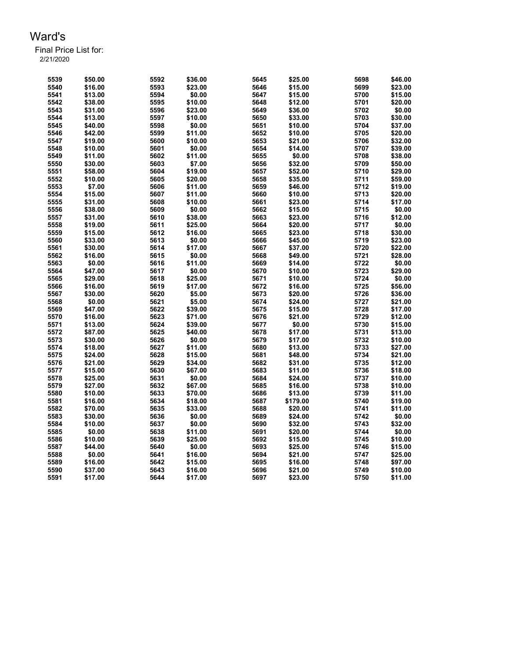| 5539 | \$50.00 | 5592 | \$36.00 | 5645 | \$25.00  | 5698 | \$46.00 |
|------|---------|------|---------|------|----------|------|---------|
| 5540 | \$16.00 | 5593 | \$23.00 | 5646 | \$15.00  | 5699 | \$23.00 |
| 5541 | \$13.00 | 5594 | \$0.00  | 5647 | \$15.00  | 5700 | \$15.00 |
| 5542 | \$38.00 | 5595 | \$10.00 | 5648 | \$12.00  | 5701 | \$20.00 |
| 5543 | \$31.00 | 5596 | \$23.00 | 5649 | \$36.00  | 5702 | \$0.00  |
| 5544 | \$13.00 | 5597 | \$10.00 | 5650 | \$33.00  | 5703 | \$30.00 |
| 5545 | \$40.00 | 5598 | \$0.00  | 5651 | \$10.00  | 5704 | \$37.00 |
| 5546 | \$42.00 | 5599 | \$11.00 | 5652 | \$10.00  | 5705 | \$20.00 |
| 5547 | \$19.00 | 5600 | \$10.00 | 5653 | \$21.00  | 5706 | \$32.00 |
| 5548 | \$10.00 | 5601 | \$0.00  | 5654 | \$14.00  | 5707 | \$39.00 |
| 5549 | \$11.00 | 5602 | \$11.00 | 5655 | \$0.00   | 5708 | \$38.00 |
| 5550 | \$30.00 | 5603 | \$7.00  | 5656 | \$32.00  | 5709 | \$50.00 |
| 5551 | \$58.00 | 5604 | \$19.00 | 5657 | \$52.00  | 5710 | \$29.00 |
|      |         |      |         |      |          |      |         |
| 5552 | \$10.00 | 5605 | \$20.00 | 5658 | \$35.00  | 5711 | \$59.00 |
| 5553 | \$7.00  | 5606 | \$11.00 | 5659 | \$46.00  | 5712 | \$19.00 |
| 5554 | \$15.00 | 5607 | \$11.00 | 5660 | \$10.00  | 5713 | \$20.00 |
| 5555 | \$31.00 | 5608 | \$10.00 | 5661 | \$23.00  | 5714 | \$17.00 |
| 5556 | \$38.00 | 5609 | \$0.00  | 5662 | \$15.00  | 5715 | \$0.00  |
| 5557 | \$31.00 | 5610 | \$38.00 | 5663 | \$23.00  | 5716 | \$12.00 |
| 5558 | \$19.00 | 5611 | \$25.00 | 5664 | \$20.00  | 5717 | \$0.00  |
| 5559 | \$15.00 | 5612 | \$16.00 | 5665 | \$23.00  | 5718 | \$30.00 |
| 5560 | \$33.00 | 5613 | \$0.00  | 5666 | \$45.00  | 5719 | \$23.00 |
| 5561 | \$30.00 | 5614 | \$17.00 | 5667 | \$37.00  | 5720 | \$22.00 |
| 5562 | \$16.00 | 5615 | \$0.00  | 5668 | \$49.00  | 5721 | \$28.00 |
| 5563 | \$0.00  | 5616 | \$11.00 | 5669 | \$14.00  | 5722 | \$0.00  |
| 5564 | \$47.00 | 5617 | \$0.00  | 5670 | \$10.00  | 5723 | \$29.00 |
| 5565 | \$29.00 | 5618 | \$25.00 | 5671 | \$10.00  | 5724 | \$0.00  |
| 5566 | \$16.00 | 5619 | \$17.00 | 5672 | \$16.00  | 5725 | \$56.00 |
| 5567 | \$30.00 | 5620 | \$5.00  | 5673 | \$20.00  | 5726 | \$36.00 |
| 5568 | \$0.00  | 5621 | \$5.00  | 5674 | \$24.00  | 5727 | \$21.00 |
| 5569 | \$47.00 | 5622 | \$39.00 | 5675 | \$15.00  | 5728 | \$17.00 |
| 5570 | \$16.00 | 5623 | \$71.00 | 5676 | \$21.00  | 5729 | \$12.00 |
| 5571 | \$13.00 | 5624 | \$39.00 | 5677 | \$0.00   | 5730 | \$15.00 |
| 5572 | \$87.00 | 5625 | \$40.00 | 5678 | \$17.00  | 5731 | \$13.00 |
| 5573 | \$30.00 | 5626 | \$0.00  | 5679 | \$17.00  | 5732 | \$10.00 |
| 5574 | \$18.00 | 5627 | \$11.00 | 5680 | \$13.00  | 5733 | \$27.00 |
| 5575 | \$24.00 | 5628 | \$15.00 | 5681 | \$48.00  | 5734 | \$21.00 |
| 5576 | \$21.00 | 5629 | \$34.00 | 5682 | \$31.00  | 5735 | \$12.00 |
| 5577 | \$15.00 | 5630 | \$67.00 | 5683 | \$11.00  | 5736 | \$18.00 |
| 5578 | \$25.00 | 5631 | \$0.00  | 5684 | \$24.00  | 5737 | \$10.00 |
|      |         |      |         |      |          | 5738 |         |
| 5579 | \$27.00 | 5632 | \$67.00 | 5685 | \$16.00  |      | \$10.00 |
| 5580 | \$10.00 | 5633 | \$70.00 | 5686 | \$13.00  | 5739 | \$11.00 |
| 5581 | \$16.00 | 5634 | \$18.00 | 5687 | \$179.00 | 5740 | \$19.00 |
| 5582 | \$70.00 | 5635 | \$33.00 | 5688 | \$20.00  | 5741 | \$11.00 |
| 5583 | \$30.00 | 5636 | \$0.00  | 5689 | \$24.00  | 5742 | \$0.00  |
| 5584 | \$10.00 | 5637 | \$0.00  | 5690 | \$32.00  | 5743 | \$32.00 |
| 5585 | \$0.00  | 5638 | \$11.00 | 5691 | \$20.00  | 5744 | \$0.00  |
| 5586 | \$10.00 | 5639 | \$25.00 | 5692 | \$15.00  | 5745 | \$10.00 |
| 5587 | \$44.00 | 5640 | \$0.00  | 5693 | \$25.00  | 5746 | \$15.00 |
| 5588 | \$0.00  | 5641 | \$16.00 | 5694 | \$21.00  | 5747 | \$25.00 |
| 5589 | \$16.00 | 5642 | \$15.00 | 5695 | \$16.00  | 5748 | \$97.00 |
| 5590 | \$37.00 | 5643 | \$16.00 | 5696 | \$21.00  | 5749 | \$10.00 |
| 5591 | \$17.00 | 5644 | \$17.00 | 5697 | \$23.00  | 5750 | \$11.00 |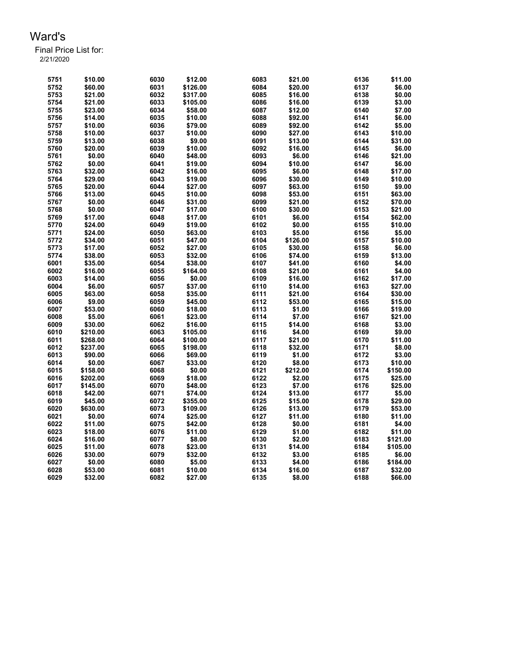| 5751 | \$10.00  | 6030 | \$12.00  | 6083 | \$21.00            | 6136         | \$11.00              |
|------|----------|------|----------|------|--------------------|--------------|----------------------|
| 5752 | \$60.00  | 6031 | \$126.00 | 6084 | \$20.00            | 6137         | \$6.00               |
| 5753 | \$21.00  | 6032 | \$317.00 | 6085 | \$16.00            | 6138         | \$0.00               |
| 5754 | \$21.00  | 6033 | \$105.00 | 6086 | \$16.00            | 6139         | \$3.00               |
| 5755 | \$23.00  | 6034 | \$58.00  | 6087 | \$12.00            | 6140         | \$7.00               |
| 5756 | \$14.00  | 6035 | \$10.00  | 6088 | \$92.00            | 6141         | \$6.00               |
| 5757 | \$10.00  | 6036 | \$79.00  | 6089 | \$92.00            | 6142         | \$5.00               |
| 5758 | \$10.00  | 6037 | \$10.00  | 6090 | \$27.00            | 6143         | \$10.00              |
| 5759 | \$13.00  | 6038 | \$9.00   | 6091 | \$13.00            | 6144         | \$31.00              |
| 5760 | \$20.00  | 6039 | \$10.00  | 6092 | \$16.00            | 6145         | \$6.00               |
| 5761 | \$0.00   | 6040 | \$48.00  | 6093 | \$6.00             | 6146         | \$21.00              |
| 5762 | \$0.00   | 6041 | \$19.00  | 6094 | \$10.00            | 6147         | \$6.00               |
| 5763 | \$32.00  | 6042 | \$16.00  | 6095 | \$6.00             | 6148         | \$17.00              |
|      |          |      |          | 6096 |                    |              |                      |
| 5764 | \$29.00  | 6043 | \$19.00  | 6097 | \$30.00<br>\$63.00 | 6149<br>6150 | \$10.00<br>\$9.00    |
| 5765 | \$20.00  | 6044 | \$27.00  |      |                    |              |                      |
| 5766 | \$13.00  | 6045 | \$10.00  | 6098 | \$53.00            | 6151         | \$63.00              |
| 5767 | \$0.00   | 6046 | \$31.00  | 6099 | \$21.00            | 6152         | \$70.00              |
| 5768 | \$0.00   | 6047 | \$17.00  | 6100 | \$30.00            | 6153         | \$21.00              |
| 5769 | \$17.00  | 6048 | \$17.00  | 6101 | \$6.00             | 6154         | \$62.00              |
| 5770 | \$24.00  | 6049 | \$19.00  | 6102 | \$0.00             | 6155         | \$10.00              |
| 5771 | \$24.00  | 6050 | \$63.00  | 6103 | \$5.00             | 6156         | \$5.00               |
| 5772 | \$34.00  | 6051 | \$47.00  | 6104 | \$126.00           | 6157         | \$10.00              |
| 5773 | \$17.00  | 6052 | \$27.00  | 6105 | \$30.00            | 6158         | \$6.00               |
| 5774 | \$38.00  | 6053 | \$32.00  | 6106 | \$74.00            | 6159         | \$13.00              |
| 6001 | \$35.00  | 6054 | \$38.00  | 6107 | \$41.00            | 6160         | \$4.00               |
| 6002 | \$16.00  | 6055 | \$164.00 | 6108 | \$21.00            | 6161         | \$4.00               |
| 6003 | \$14.00  | 6056 | \$0.00   | 6109 | \$16.00            | 6162         | \$17.00              |
| 6004 | \$6.00   | 6057 | \$37.00  | 6110 | \$14.00            | 6163         | \$27.00              |
| 6005 | \$63.00  | 6058 | \$35.00  | 6111 | \$21.00            | 6164         | \$30.00              |
| 6006 | \$9.00   | 6059 | \$45.00  | 6112 | \$53.00            | 6165         | \$15.00              |
| 6007 | \$53.00  | 6060 | \$18.00  | 6113 | \$1.00             | 6166         | \$19.00              |
| 6008 | \$5.00   | 6061 | \$23.00  | 6114 | \$7.00             | 6167         | \$21.00              |
| 6009 | \$30.00  | 6062 | \$16.00  | 6115 | \$14.00            | 6168         | \$3.00               |
| 6010 | \$210.00 | 6063 | \$105.00 | 6116 | \$4.00             | 6169         | \$9.00               |
| 6011 | \$268.00 | 6064 | \$100.00 | 6117 | \$21.00            | 6170         | \$11.00              |
| 6012 | \$237.00 | 6065 | \$198.00 | 6118 | \$32.00            | 6171         | \$8.00               |
| 6013 | \$90.00  | 6066 | \$69.00  | 6119 | \$1.00             | 6172         | \$3.00               |
| 6014 | \$0.00   | 6067 | \$33.00  | 6120 | \$8.00             | 6173         | \$10.00              |
| 6015 | \$158.00 | 6068 | \$0.00   | 6121 | \$212.00           | 6174         | \$150.00             |
| 6016 | \$202.00 | 6069 | \$18.00  | 6122 | \$2.00             | 6175         | \$25.00              |
| 6017 | \$145.00 | 6070 | \$48.00  | 6123 | \$7.00             | 6176         | \$25.00              |
| 6018 | \$42.00  | 6071 | \$74.00  | 6124 | \$13.00            | 6177         | \$5.00               |
| 6019 | \$45.00  | 6072 | \$355.00 | 6125 | \$15.00            | 6178         | \$29.00              |
| 6020 | \$630.00 | 6073 | \$109.00 | 6126 | \$13.00            | 6179         | \$53.00              |
| 6021 | \$0.00   | 6074 | \$25.00  | 6127 | \$11.00            | 6180         | \$11.00              |
| 6022 | \$11.00  | 6075 | \$42.00  | 6128 | \$0.00             | 6181         | \$4.00               |
| 6023 | \$18.00  | 6076 | \$11.00  | 6129 | \$1.00             | 6182         | \$11.00              |
|      |          |      |          | 6130 |                    |              |                      |
| 6024 | \$16.00  | 6077 | \$8.00   |      | \$2.00             | 6183         | \$121.00<br>\$105.00 |
| 6025 | \$11.00  | 6078 | \$23.00  | 6131 | \$14.00            | 6184         |                      |
| 6026 | \$30.00  | 6079 | \$32.00  | 6132 | \$3.00             | 6185         | \$6.00               |
| 6027 | \$0.00   | 6080 | \$5.00   | 6133 | \$4.00             | 6186         | \$184.00             |
| 6028 | \$53.00  | 6081 | \$10.00  | 6134 | \$16.00            | 6187         | \$32.00              |
| 6029 | \$32.00  | 6082 | \$27.00  | 6135 | \$8.00             | 6188         | \$66.00              |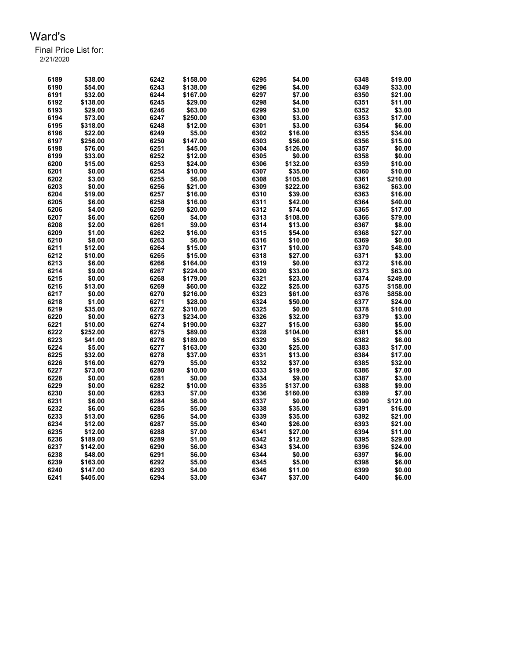| 6189 | \$38.00  | 6242 | \$158.00 | 6295 | \$4.00   | 6348 | \$19.00  |
|------|----------|------|----------|------|----------|------|----------|
| 6190 | \$54.00  | 6243 | \$138.00 | 6296 | \$4.00   | 6349 | \$33.00  |
| 6191 | \$32.00  | 6244 | \$167.00 | 6297 | \$7.00   | 6350 | \$21.00  |
| 6192 | \$138.00 | 6245 | \$29.00  | 6298 | \$4.00   | 6351 | \$11.00  |
| 6193 | \$29.00  | 6246 | \$63.00  | 6299 | \$3.00   | 6352 | \$3.00   |
| 6194 | \$73.00  | 6247 | \$250.00 | 6300 | \$3.00   | 6353 | \$17.00  |
| 6195 | \$318.00 | 6248 | \$12.00  | 6301 | \$3.00   | 6354 | \$6.00   |
| 6196 | \$22.00  | 6249 | \$5.00   | 6302 | \$16.00  | 6355 | \$34.00  |
| 6197 | \$256.00 | 6250 | \$147.00 | 6303 | \$56.00  | 6356 | \$15.00  |
| 6198 | \$76.00  | 6251 | \$45.00  | 6304 | \$126.00 | 6357 | \$0.00   |
| 6199 | \$33.00  | 6252 | \$12.00  | 6305 | \$0.00   | 6358 | \$0.00   |
| 6200 | \$15.00  | 6253 | \$24.00  | 6306 | \$132.00 | 6359 | \$10.00  |
| 6201 | \$0.00   | 6254 | \$10.00  | 6307 | \$35.00  | 6360 | \$10.00  |
| 6202 | \$3.00   | 6255 | \$6.00   | 6308 | \$105.00 | 6361 | \$210.00 |
| 6203 | \$0.00   | 6256 | \$21.00  | 6309 | \$222.00 | 6362 | \$63.00  |
| 6204 | \$19.00  | 6257 | \$16.00  | 6310 | \$39.00  | 6363 | \$16.00  |
| 6205 | \$6.00   | 6258 |          | 6311 | \$42.00  | 6364 | \$40.00  |
|      |          | 6259 | \$16.00  | 6312 |          |      | \$17.00  |
| 6206 | \$4.00   |      | \$20.00  |      | \$74.00  | 6365 |          |
| 6207 | \$6.00   | 6260 | \$4.00   | 6313 | \$108.00 | 6366 | \$79.00  |
| 6208 | \$2.00   | 6261 | \$9.00   | 6314 | \$13.00  | 6367 | \$8.00   |
| 6209 | \$1.00   | 6262 | \$16.00  | 6315 | \$54.00  | 6368 | \$27.00  |
| 6210 | \$8.00   | 6263 | \$6.00   | 6316 | \$10.00  | 6369 | \$0.00   |
| 6211 | \$12.00  | 6264 | \$15.00  | 6317 | \$10.00  | 6370 | \$48.00  |
| 6212 | \$10.00  | 6265 | \$15.00  | 6318 | \$27.00  | 6371 | \$3.00   |
| 6213 | \$6.00   | 6266 | \$164.00 | 6319 | \$0.00   | 6372 | \$16.00  |
| 6214 | \$9.00   | 6267 | \$224.00 | 6320 | \$33.00  | 6373 | \$63.00  |
| 6215 | \$0.00   | 6268 | \$179.00 | 6321 | \$23.00  | 6374 | \$249.00 |
| 6216 | \$13.00  | 6269 | \$60.00  | 6322 | \$25.00  | 6375 | \$158.00 |
| 6217 | \$0.00   | 6270 | \$216.00 | 6323 | \$61.00  | 6376 | \$858.00 |
| 6218 | \$1.00   | 6271 | \$28.00  | 6324 | \$50.00  | 6377 | \$24.00  |
| 6219 | \$35.00  | 6272 | \$310.00 | 6325 | \$0.00   | 6378 | \$10.00  |
| 6220 | \$0.00   | 6273 | \$234.00 | 6326 | \$32.00  | 6379 | \$3.00   |
| 6221 | \$10.00  | 6274 | \$190.00 | 6327 | \$15.00  | 6380 | \$5.00   |
| 6222 | \$252.00 | 6275 | \$89.00  | 6328 | \$104.00 | 6381 | \$5.00   |
| 6223 | \$41.00  | 6276 | \$189.00 | 6329 | \$5.00   | 6382 | \$6.00   |
| 6224 | \$5.00   | 6277 | \$163.00 | 6330 | \$25.00  | 6383 | \$17.00  |
| 6225 | \$32.00  | 6278 | \$37.00  | 6331 | \$13.00  | 6384 | \$17.00  |
| 6226 | \$16.00  | 6279 | \$5.00   | 6332 | \$37.00  | 6385 | \$32.00  |
| 6227 | \$73.00  | 6280 | \$10.00  | 6333 | \$19.00  | 6386 | \$7.00   |
| 6228 | \$0.00   | 6281 | \$0.00   | 6334 | \$9.00   | 6387 | \$3.00   |
| 6229 | \$0.00   | 6282 | \$10.00  | 6335 | \$137.00 | 6388 | \$9.00   |
| 6230 | \$0.00   | 6283 | \$7.00   | 6336 | \$160.00 | 6389 | \$7.00   |
| 6231 | \$6.00   | 6284 | \$6.00   | 6337 | \$0.00   | 6390 | \$121.00 |
| 6232 | \$6.00   | 6285 | \$5.00   | 6338 | \$35.00  | 6391 | \$16.00  |
| 6233 | \$13.00  | 6286 | \$4.00   | 6339 | \$35.00  | 6392 | \$21.00  |
| 6234 | \$12.00  | 6287 | \$5.00   | 6340 | \$26.00  | 6393 | \$21.00  |
| 6235 | \$12.00  | 6288 | \$7.00   | 6341 | \$27.00  | 6394 | \$11.00  |
| 6236 | \$189.00 | 6289 | \$1.00   | 6342 | \$12.00  | 6395 | \$29.00  |
| 6237 | \$142.00 | 6290 | \$6.00   | 6343 | \$34.00  | 6396 | \$24.00  |
| 6238 | \$48.00  | 6291 | \$6.00   | 6344 | \$0.00   | 6397 | \$6.00   |
| 6239 | \$163.00 | 6292 | \$5.00   | 6345 | \$5.00   | 6398 | \$6.00   |
| 6240 | \$147.00 | 6293 | \$4.00   | 6346 | \$11.00  | 6399 | \$0.00   |
| 6241 | \$405.00 | 6294 | \$3.00   | 6347 | \$37.00  | 6400 | \$6.00   |
|      |          |      |          |      |          |      |          |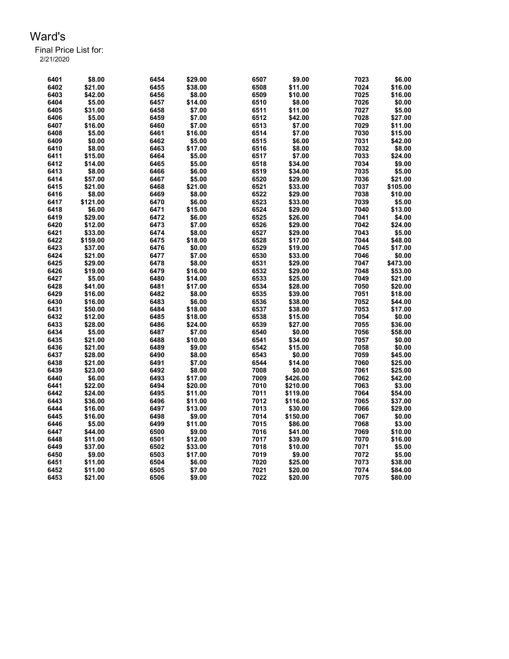| 6401         | \$8.00   | 6454 | \$29.00 | 6507 | \$9.00   | 7023 | \$6.00   |
|--------------|----------|------|---------|------|----------|------|----------|
| 6402         | \$21.00  | 6455 | \$38.00 | 6508 | \$11.00  | 7024 | \$16.00  |
| 6403         | \$42.00  | 6456 | \$8.00  | 6509 | \$10.00  | 7025 | \$16.00  |
| 6404         | \$5.00   | 6457 | \$14.00 | 6510 | \$8.00   | 7026 | \$0.00   |
| 6405         | \$31.00  | 6458 | \$7.00  | 6511 | \$11.00  | 7027 | \$5.00   |
| 6406         | \$5.00   | 6459 | \$7.00  | 6512 | \$42.00  | 7028 | \$27.00  |
| 6407         | \$16.00  | 6460 | \$7.00  | 6513 | \$7.00   | 7029 | \$11.00  |
| 6408         | \$5.00   | 6461 | \$16.00 | 6514 | \$7.00   | 7030 | \$15.00  |
| 6409         | \$0.00   | 6462 | \$5.00  | 6515 | \$6.00   | 7031 | \$42.00  |
| 6410         | \$8.00   | 6463 | \$17.00 | 6516 | \$8.00   | 7032 | \$8.00   |
| 6411         | \$15.00  | 6464 | \$5.00  | 6517 | \$7.00   | 7033 | \$24.00  |
| 6412         | \$14.00  | 6465 | \$5.00  | 6518 | \$34.00  | 7034 | \$9.00   |
| 6413         | \$8.00   | 6466 | \$6.00  | 6519 | \$34.00  | 7035 | \$5.00   |
| 6414         | \$57.00  | 6467 | \$5.00  | 6520 | \$29.00  | 7036 | \$21.00  |
| 6415         | \$21.00  | 6468 | \$21.00 | 6521 | \$33.00  | 7037 | \$105.00 |
| 6416         | \$8.00   | 6469 | \$8.00  | 6522 | \$29.00  | 7038 | \$10.00  |
| 6417         | \$121.00 | 6470 | \$6.00  | 6523 | \$33.00  | 7039 | \$5.00   |
| 6418         | \$6.00   | 6471 | \$15.00 | 6524 | \$29.00  | 7040 | \$13.00  |
| 6419         | \$29.00  | 6472 | \$6.00  | 6525 | \$26.00  | 7041 | \$4.00   |
|              | \$12.00  | 6473 | \$7.00  | 6526 |          | 7042 | \$24.00  |
| 6420<br>6421 |          |      | \$8.00  | 6527 | \$29.00  |      |          |
|              | \$33.00  | 6474 |         |      | \$29.00  | 7043 | \$5.00   |
| 6422         | \$159.00 | 6475 | \$18.00 | 6528 | \$17.00  | 7044 | \$48.00  |
| 6423         | \$37.00  | 6476 | \$0.00  | 6529 | \$19.00  | 7045 | \$17.00  |
| 6424         | \$21.00  | 6477 | \$7.00  | 6530 | \$33.00  | 7046 | \$0.00   |
| 6425         | \$29.00  | 6478 | \$8.00  | 6531 | \$29.00  | 7047 | \$473.00 |
| 6426         | \$19.00  | 6479 | \$16.00 | 6532 | \$29.00  | 7048 | \$53.00  |
| 6427         | \$5.00   | 6480 | \$14.00 | 6533 | \$25.00  | 7049 | \$21.00  |
| 6428         | \$41.00  | 6481 | \$17.00 | 6534 | \$28.00  | 7050 | \$20.00  |
| 6429         | \$16.00  | 6482 | \$8.00  | 6535 | \$39.00  | 7051 | \$18.00  |
| 6430         | \$16.00  | 6483 | \$6.00  | 6536 | \$38.00  | 7052 | \$44.00  |
| 6431         | \$50.00  | 6484 | \$18.00 | 6537 | \$38.00  | 7053 | \$17.00  |
| 6432         | \$12.00  | 6485 | \$18.00 | 6538 | \$15.00  | 7054 | \$0.00   |
| 6433         | \$28.00  | 6486 | \$24.00 | 6539 | \$27.00  | 7055 | \$36.00  |
| 6434         | \$5.00   | 6487 | \$7.00  | 6540 | \$0.00   | 7056 | \$58.00  |
| 6435         | \$21.00  | 6488 | \$10.00 | 6541 | \$34.00  | 7057 | \$0.00   |
| 6436         | \$21.00  | 6489 | \$9.00  | 6542 | \$15.00  | 7058 | \$0.00   |
| 6437         | \$28.00  | 6490 | \$8.00  | 6543 | \$0.00   | 7059 | \$45.00  |
| 6438         | \$21.00  | 6491 | \$7.00  | 6544 | \$14.00  | 7060 | \$25.00  |
| 6439         | \$23.00  | 6492 | \$8.00  | 7008 | \$0.00   | 7061 | \$25.00  |
| 6440         | \$6.00   | 6493 | \$17.00 | 7009 | \$426.00 | 7062 | \$42.00  |
| 6441         | \$22.00  | 6494 | \$20.00 | 7010 | \$210.00 | 7063 | \$3.00   |
| 6442         | \$24.00  | 6495 | \$11.00 | 7011 | \$119.00 | 7064 | \$54.00  |
| 6443         | \$36.00  | 6496 | \$11.00 | 7012 | \$116.00 | 7065 | \$37.00  |
| 6444         | \$16.00  | 6497 | \$13.00 | 7013 | \$30.00  | 7066 | \$29.00  |
| 6445         | \$16.00  | 6498 | \$9.00  | 7014 | \$150.00 | 7067 | \$0.00   |
| 6446         | \$5.00   | 6499 | \$11.00 | 7015 | \$86.00  | 7068 | \$3.00   |
| 6447         | \$44.00  | 6500 | \$9.00  | 7016 | \$41.00  | 7069 | \$10.00  |
| 6448         | \$11.00  | 6501 | \$12.00 | 7017 | \$39.00  | 7070 | \$16.00  |
| 6449         | \$37.00  | 6502 | \$33.00 | 7018 | \$10.00  | 7071 | \$5.00   |
| 6450         | \$9.00   | 6503 | \$17.00 | 7019 | \$9.00   | 7072 | \$5.00   |
| 6451         | \$11.00  | 6504 | \$6.00  | 7020 | \$25.00  | 7073 | \$38.00  |
| 6452         | \$11.00  | 6505 | \$7.00  | 7021 | \$20.00  | 7074 | \$84.00  |
| 6453         | \$21.00  | 6506 | \$9.00  | 7022 | \$20.00  | 7075 | \$80.00  |
|              |          |      |         |      |          |      |          |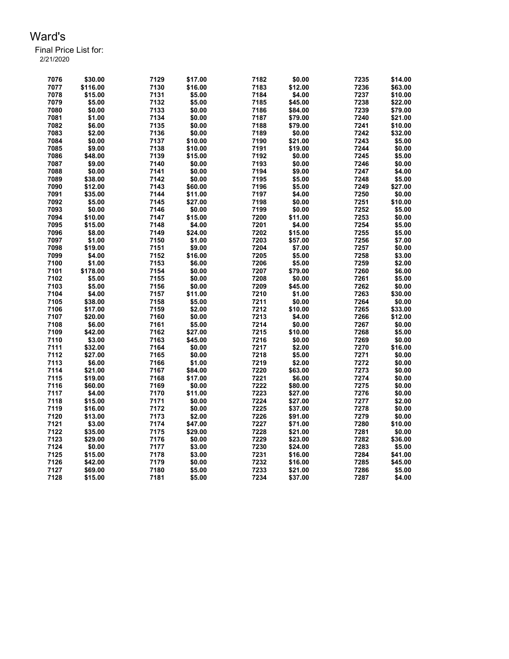| 7076         | \$30.00  | 7129 | \$17.00          | 7182 | \$0.00  | 7235         | \$14.00            |
|--------------|----------|------|------------------|------|---------|--------------|--------------------|
| 7077         | \$116.00 | 7130 | \$16.00          | 7183 | \$12.00 | 7236         | \$63.00            |
| 7078         | \$15.00  | 7131 | \$5.00           | 7184 | \$4.00  | 7237         | \$10.00            |
| 7079         | \$5.00   | 7132 | \$5.00           | 7185 | \$45.00 | 7238         | \$22.00            |
| 7080         | \$0.00   | 7133 | \$0.00           | 7186 | \$84.00 | 7239         | \$79.00            |
| 7081         | \$1.00   | 7134 | \$0.00           | 7187 | \$79.00 | 7240         | \$21.00            |
| 7082         | \$6.00   | 7135 | \$0.00           | 7188 | \$79.00 | 7241         | \$10.00            |
| 7083         | \$2.00   | 7136 | \$0.00           | 7189 | \$0.00  | 7242         | \$32.00            |
| 7084         | \$0.00   | 7137 | \$10.00          | 7190 | \$21.00 | 7243         | \$5.00             |
| 7085         | \$9.00   | 7138 | \$10.00          | 7191 | \$19.00 | 7244         | \$0.00             |
| 7086         | \$48.00  | 7139 | \$15.00          | 7192 | \$0.00  | 7245         | \$5.00             |
| 7087         | \$9.00   | 7140 | \$0.00           | 7193 | \$0.00  | 7246         | \$0.00             |
| 7088         | \$0.00   | 7141 | \$0.00           | 7194 | \$9.00  | 7247         | \$4.00             |
| 7089         | \$38.00  | 7142 | \$0.00           | 7195 | \$5.00  | 7248         | \$5.00             |
| 7090         | \$12.00  | 7143 | \$60.00          | 7196 | \$5.00  | 7249         | \$27.00            |
| 7091         | \$35.00  | 7144 | \$11.00          | 7197 | \$4.00  | 7250         | \$0.00             |
| 7092         | \$5.00   | 7145 | \$27.00          | 7198 | \$0.00  | 7251         | \$10.00            |
| 7093         | \$0.00   | 7146 | \$0.00           | 7199 | \$0.00  | 7252         | \$5.00             |
| 7094         | \$10.00  | 7147 | \$15.00          | 7200 | \$11.00 | 7253         | \$0.00             |
| 7095         | \$15.00  | 7148 | \$4.00           | 7201 | \$4.00  | 7254         | \$5.00             |
| 7096         | \$8.00   | 7149 | \$24.00          | 7202 | \$15.00 | 7255         | \$5.00             |
| 7097         | \$1.00   | 7150 | \$1.00           | 7203 | \$57.00 | 7256         | \$7.00             |
| 7098         | \$19.00  | 7151 | \$9.00           | 7204 | \$7.00  | 7257         | \$0.00             |
| 7099         | \$4.00   | 7152 | \$16.00          | 7205 | \$5.00  | 7258         | \$3.00             |
| 7100         | \$1.00   | 7153 | \$6.00           | 7206 | \$5.00  | 7259         | \$2.00             |
| 7101         | \$178.00 | 7154 | \$0.00           | 7207 | \$79.00 | 7260         | \$6.00             |
| 7102         | \$5.00   | 7155 | \$0.00           | 7208 | \$0.00  | 7261         | \$5.00             |
| 7103         | \$5.00   | 7156 | \$0.00           | 7209 | \$45.00 | 7262         | \$0.00             |
| 7104         | \$4.00   | 7157 | \$11.00          | 7210 | \$1.00  | 7263         | \$30.00            |
| 7105         | \$38.00  | 7158 | \$5.00           | 7211 | \$0.00  | 7264         | \$0.00             |
|              | \$17.00  | 7159 |                  | 7212 | \$10.00 |              |                    |
| 7106<br>7107 | \$20.00  | 7160 | \$2.00<br>\$0.00 | 7213 | \$4.00  | 7265<br>7266 | \$33.00<br>\$12.00 |
| 7108         | \$6.00   | 7161 | \$5.00           | 7214 | \$0.00  | 7267         | \$0.00             |
|              | \$42.00  | 7162 | \$27.00          | 7215 | \$10.00 | 7268         | \$5.00             |
| 7109         |          |      |                  |      |         |              |                    |
| 7110         | \$3.00   | 7163 | \$45.00          | 7216 | \$0.00  | 7269         | \$0.00             |
| 7111         | \$32.00  | 7164 | \$0.00           | 7217 | \$2.00  | 7270         | \$16.00            |
| 7112         | \$27.00  | 7165 | \$0.00           | 7218 | \$5.00  | 7271         | \$0.00             |
| 7113         | \$6.00   | 7166 | \$1.00           | 7219 | \$2.00  | 7272         | \$0.00             |
| 7114         | \$21.00  | 7167 | \$84.00          | 7220 | \$63.00 | 7273         | \$0.00             |
| 7115         | \$19.00  | 7168 | \$17.00          | 7221 | \$6.00  | 7274         | \$0.00             |
| 7116         | \$60.00  | 7169 | \$0.00           | 7222 | \$80.00 | 7275         | \$0.00             |
| 7117         | \$4.00   | 7170 | \$11.00          | 7223 | \$27.00 | 7276         | \$0.00             |
| 7118         | \$15.00  | 7171 | \$0.00           | 7224 | \$27.00 | 7277         | \$2.00             |
| 7119         | \$16.00  | 7172 | \$0.00           | 7225 | \$37.00 | 7278         | \$0.00             |
| 7120         | \$13.00  | 7173 | \$2.00           | 7226 | \$91.00 | 7279         | \$0.00             |
| 7121         | \$3.00   | 7174 | \$47.00          | 7227 | \$71.00 | 7280         | \$10.00            |
| 7122         | \$35.00  | 7175 | \$29.00          | 7228 | \$21.00 | 7281         | \$0.00             |
| 7123         | \$29.00  | 7176 | \$0.00           | 7229 | \$23.00 | 7282         | \$36.00            |
| 7124         | \$0.00   | 7177 | \$3.00           | 7230 | \$24.00 | 7283         | \$5.00             |
| 7125         | \$15.00  | 7178 | \$3.00           | 7231 | \$16.00 | 7284         | \$41.00            |
| 7126         | \$42.00  | 7179 | \$0.00           | 7232 | \$16.00 | 7285         | \$45.00            |
| 7127         | \$69.00  | 7180 | \$5.00           | 7233 | \$21.00 | 7286         | \$5.00             |
| 7128         | \$15.00  | 7181 | \$5.00           | 7234 | \$37.00 | 7287         | \$4.00             |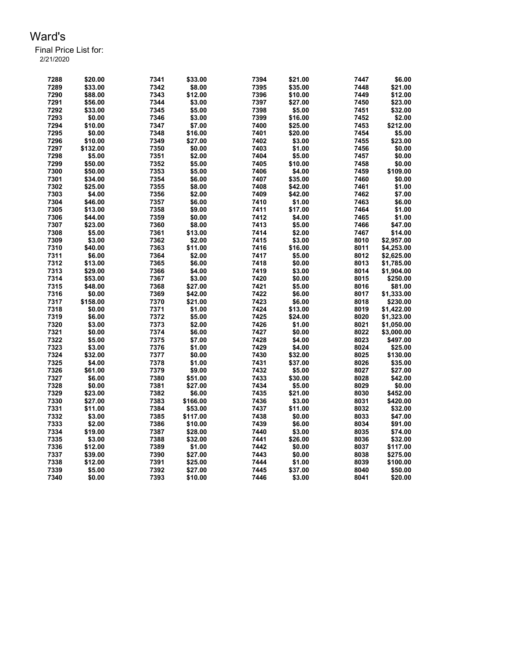| 7288 | \$20.00           | 7341         | \$33.00  | 7394         | \$21.00 | 7447 | \$6.00              |
|------|-------------------|--------------|----------|--------------|---------|------|---------------------|
| 7289 | \$33.00           | 7342         | \$8.00   | 7395         | \$35.00 | 7448 | \$21.00             |
| 7290 | \$88.00           | 7343         | \$12.00  | 7396         | \$10.00 | 7449 | \$12.00             |
| 7291 | \$56.00           | 7344         | \$3.00   | 7397         | \$27.00 | 7450 | \$23.00             |
| 7292 | \$33.00           | 7345         | \$5.00   | 7398         | \$5.00  | 7451 | \$32.00             |
| 7293 | \$0.00            | 7346         | \$3.00   | 7399         | \$16.00 | 7452 | \$2.00              |
| 7294 | \$10.00           | 7347         | \$7.00   | 7400         | \$25.00 | 7453 | \$212.00            |
| 7295 | \$0.00            | 7348         | \$16.00  | 7401         | \$20.00 | 7454 | \$5.00              |
| 7296 | \$10.00           | 7349         | \$27.00  | 7402         | \$3.00  | 7455 | \$23.00             |
| 7297 | \$132.00          | 7350         | \$0.00   | 7403         | \$1.00  | 7456 | \$0.00              |
| 7298 | \$5.00            | 7351         | \$2.00   | 7404         | \$5.00  | 7457 | \$0.00              |
| 7299 | \$50.00           | 7352         | \$5.00   | 7405         | \$10.00 | 7458 | \$0.00              |
| 7300 | \$50.00           | 7353         | \$5.00   | 7406         | \$4.00  | 7459 | \$109.00            |
| 7301 | \$34.00           | 7354         | \$6.00   | 7407         | \$35.00 | 7460 | \$0.00              |
| 7302 | \$25.00           | 7355         | \$8.00   | 7408         | \$42.00 | 7461 | \$1.00              |
| 7303 | \$4.00            | 7356         | \$2.00   | 7409         | \$42.00 | 7462 | \$7.00              |
| 7304 | \$46.00           | 7357         | \$6.00   | 7410         | \$1.00  | 7463 | \$6.00              |
| 7305 | \$13.00           | 7358         | \$9.00   | 7411         | \$17.00 | 7464 | \$1.00              |
| 7306 | \$44.00           | 7359         | \$0.00   | 7412         | \$4.00  | 7465 | \$1.00              |
| 7307 | \$23.00           | 7360         | \$8.00   | 7413         | \$5.00  | 7466 | \$47.00             |
| 7308 | \$5.00            | 7361         | \$13.00  | 7414         | \$2.00  | 7467 | \$14.00             |
| 7309 | \$3.00            | 7362         | \$2.00   | 7415         | \$3.00  | 8010 | \$2,957.00          |
| 7310 | \$40.00           | 7363         | \$11.00  | 7416         | \$16.00 | 8011 | \$4,253.00          |
| 7311 | \$6.00            | 7364         | \$2.00   | 7417         | \$5.00  | 8012 | \$2,625.00          |
| 7312 | \$13.00           | 7365         | \$6.00   | 7418         | \$0.00  | 8013 | \$1,785.00          |
| 7313 | \$29.00           | 7366         | \$4.00   | 7419         | \$3.00  | 8014 | \$1,904.00          |
| 7314 | \$53.00           | 7367         | \$3.00   | 7420         | \$0.00  | 8015 | \$250.00            |
| 7315 | \$48.00           | 7368         | \$27.00  | 7421         | \$5.00  | 8016 | \$81.00             |
| 7316 | \$0.00            | 7369         | \$42.00  | 7422         | \$6.00  | 8017 | \$1,333.00          |
| 7317 | \$158.00          | 7370         | \$21.00  | 7423         | \$6.00  | 8018 | \$230.00            |
| 7318 | \$0.00            | 7371         | \$1.00   | 7424         | \$13.00 | 8019 | \$1,422.00          |
| 7319 | \$6.00            | 7372         | \$5.00   | 7425         | \$24.00 | 8020 | \$1,323.00          |
| 7320 | \$3.00            | 7373         | \$2.00   | 7426         | \$1.00  | 8021 | \$1,050.00          |
| 7321 | \$0.00            | 7374         | \$6.00   | 7427         | \$0.00  | 8022 | \$3,000.00          |
| 7322 | \$5.00            | 7375         | \$7.00   | 7428         | \$4.00  | 8023 | \$497.00            |
| 7323 | \$3.00            | 7376         | \$1.00   | 7429         | \$4.00  | 8024 | \$25.00             |
| 7324 |                   | 7377         |          | 7430         |         | 8025 |                     |
| 7325 | \$32.00           |              | \$0.00   | 7431         | \$32.00 | 8026 | \$130.00<br>\$35.00 |
| 7326 | \$4.00<br>\$61.00 | 7378<br>7379 | \$1.00   | 7432         | \$37.00 | 8027 |                     |
|      |                   |              | \$9.00   |              | \$5.00  |      | \$27.00             |
| 7327 | \$6.00            | 7380         | \$51.00  | 7433         | \$30.00 | 8028 | \$42.00             |
| 7328 | \$0.00            | 7381<br>7382 | \$27.00  | 7434<br>7435 | \$5.00  | 8029 | \$0.00              |
| 7329 | \$23.00           |              | \$6.00   |              | \$21.00 | 8030 | \$452.00            |
| 7330 | \$27.00           | 7383         | \$166.00 | 7436         | \$3.00  | 8031 | \$420.00            |
| 7331 | \$11.00           | 7384         | \$53.00  | 7437         | \$11.00 | 8032 | \$32.00             |
| 7332 | \$3.00            | 7385         | \$117.00 | 7438         | \$0.00  | 8033 | \$47.00             |
| 7333 | \$2.00            | 7386         | \$10.00  | 7439         | \$6.00  | 8034 | \$91.00             |
| 7334 | \$19.00           | 7387         | \$28.00  | 7440         | \$3.00  | 8035 | \$74.00             |
| 7335 | \$3.00            | 7388         | \$32.00  | 7441         | \$26.00 | 8036 | \$32.00             |
| 7336 | \$12.00           | 7389         | \$1.00   | 7442         | \$0.00  | 8037 | \$117.00            |
| 7337 | \$39.00           | 7390         | \$27.00  | 7443         | \$0.00  | 8038 | \$275.00            |
| 7338 | \$12.00           | 7391         | \$25.00  | 7444         | \$1.00  | 8039 | \$100.00            |
| 7339 | \$5.00            | 7392         | \$27.00  | 7445         | \$37.00 | 8040 | \$50.00             |
| 7340 | \$0.00            | 7393         | \$10.00  | 7446         | \$3.00  | 8041 | \$20.00             |
|      |                   |              |          |              |         |      |                     |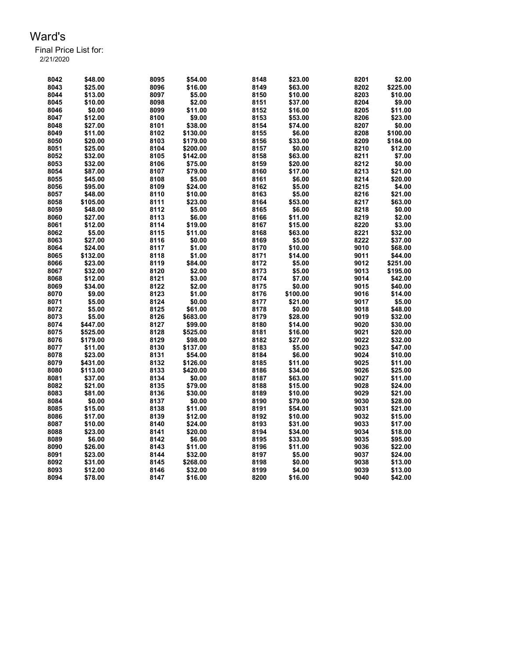| 8042         | \$48.00  | 8095         | \$54.00           | 8148         | \$23.00           | 8201 | \$2.00             |
|--------------|----------|--------------|-------------------|--------------|-------------------|------|--------------------|
| 8043         | \$25.00  | 8096         | \$16.00           | 8149         | \$63.00           | 8202 | \$225.00           |
| 8044         | \$13.00  | 8097         | \$5.00            | 8150         | \$10.00           | 8203 | \$10.00            |
| 8045         | \$10.00  | 8098         | \$2.00            | 8151         | \$37.00           | 8204 | \$9.00             |
| 8046         | \$0.00   | 8099         | \$11.00           | 8152         | \$16.00           | 8205 | \$11.00            |
| 8047         | \$12.00  | 8100         | \$9.00            | 8153         | \$53.00           | 8206 | \$23.00            |
| 8048         | \$27.00  | 8101         | \$38.00           | 8154         | \$74.00           | 8207 | \$0.00             |
| 8049         | \$11.00  | 8102         | \$130.00          | 8155         | \$6.00            | 8208 | \$100.00           |
| 8050         | \$20.00  | 8103         | \$179.00          | 8156         | \$33.00           | 8209 | \$184.00           |
| 8051         | \$25.00  | 8104         | \$200.00          | 8157         | \$0.00            | 8210 | \$12.00            |
| 8052         | \$32.00  | 8105         | \$142.00          | 8158         | \$63.00           | 8211 | \$7.00             |
| 8053         | \$32.00  | 8106         | \$75.00           | 8159         | \$20.00           | 8212 | \$0.00             |
| 8054         | \$87.00  | 8107         | \$79.00           | 8160         | \$17.00           | 8213 | \$21.00            |
| 8055         | \$45.00  | 8108         | \$5.00            | 8161         | \$6.00            | 8214 | \$20.00            |
| 8056         | \$95.00  | 8109         | \$24.00           | 8162         | \$5.00            | 8215 | \$4.00             |
| 8057         | \$48.00  | 8110         | \$10.00           | 8163         | \$5.00            | 8216 | \$21.00            |
| 8058         | \$105.00 | 8111         | \$23.00           | 8164         | \$53.00           | 8217 | \$63.00            |
| 8059         | \$48.00  | 8112         | \$5.00            | 8165         | \$6.00            | 8218 | \$0.00             |
| 8060         | \$27.00  | 8113         | \$6.00            | 8166         | \$11.00           | 8219 | \$2.00             |
| 8061         | \$12.00  | 8114         | \$19.00           | 8167         | \$15.00           | 8220 | \$3.00             |
|              |          |              |                   |              |                   | 8221 |                    |
| 8062<br>8063 | \$5.00   | 8115<br>8116 | \$11.00<br>\$0.00 | 8168<br>8169 | \$63.00<br>\$5.00 | 8222 | \$32.00<br>\$37.00 |
|              | \$27.00  |              |                   |              |                   |      |                    |
| 8064         | \$24.00  | 8117         | \$1.00            | 8170         | \$10.00           | 9010 | \$68.00            |
| 8065         | \$132.00 | 8118         | \$1.00            | 8171         | \$14.00           | 9011 | \$44.00            |
| 8066         | \$23.00  | 8119         | \$84.00           | 8172         | \$5.00            | 9012 | \$251.00           |
| 8067         | \$32.00  | 8120         | \$2.00            | 8173         | \$5.00            | 9013 | \$195.00           |
| 8068         | \$12.00  | 8121         | \$3.00            | 8174         | \$7.00            | 9014 | \$42.00            |
| 8069         | \$34.00  | 8122         | \$2.00            | 8175         | \$0.00            | 9015 | \$40.00            |
| 8070         | \$9.00   | 8123         | \$1.00            | 8176         | \$100.00          | 9016 | \$14.00            |
| 8071         | \$5.00   | 8124         | \$0.00            | 8177         | \$21.00           | 9017 | \$5.00             |
| 8072         | \$5.00   | 8125         | \$61.00           | 8178         | \$0.00            | 9018 | \$48.00            |
| 8073         | \$5.00   | 8126         | \$683.00          | 8179         | \$28.00           | 9019 | \$32.00            |
| 8074         | \$447.00 | 8127         | \$99.00           | 8180         | \$14.00           | 9020 | \$30.00            |
| 8075         | \$525.00 | 8128         | \$525.00          | 8181         | \$16.00           | 9021 | \$20.00            |
| 8076         | \$179.00 | 8129         | \$98.00           | 8182         | \$27.00           | 9022 | \$32.00            |
| 8077         | \$11.00  | 8130         | \$137.00          | 8183         | \$5.00            | 9023 | \$47.00            |
| 8078         | \$23.00  | 8131         | \$54.00           | 8184         | \$6.00            | 9024 | \$10.00            |
| 8079         | \$431.00 | 8132         | \$126.00          | 8185         | \$11.00           | 9025 | \$11.00            |
| 8080         | \$113.00 | 8133         | \$420.00          | 8186         | \$34.00           | 9026 | \$25.00            |
| 8081         | \$37.00  | 8134         | \$0.00            | 8187         | \$63.00           | 9027 | \$11.00            |
| 8082         | \$21.00  | 8135         | \$79.00           | 8188         | \$15.00           | 9028 | \$24.00            |
| 8083         | \$81.00  | 8136         | \$30.00           | 8189         | \$10.00           | 9029 | \$21.00            |
| 8084         | \$0.00   | 8137         | \$0.00            | 8190         | \$79.00           | 9030 | \$28.00            |
| 8085         | \$15.00  | 8138         | \$11.00           | 8191         | \$54.00           | 9031 | \$21.00            |
| 8086         | \$17.00  | 8139         | \$12.00           | 8192         | \$10.00           | 9032 | \$15.00            |
| 8087         | \$10.00  | 8140         | \$24.00           | 8193         | \$31.00           | 9033 | \$17.00            |
| 8088         | \$23.00  | 8141         | \$20.00           | 8194         | \$34.00           | 9034 | \$18.00            |
| 8089         | \$6.00   | 8142         | \$6.00            | 8195         | \$33.00           | 9035 | \$95.00            |
| 8090         | \$26.00  | 8143         | \$11.00           | 8196         | \$11.00           | 9036 | \$22.00            |
| 8091         | \$23.00  | 8144         | \$32.00           | 8197         | \$5.00            | 9037 | \$24.00            |
| 8092         | \$31.00  | 8145         | \$268.00          | 8198         | \$0.00            | 9038 | \$13.00            |
| 8093         | \$12.00  | 8146         | \$32.00           | 8199         | \$4.00            | 9039 | \$13.00            |
| 8094         | \$78.00  | 8147         | \$16.00           | 8200         | \$16.00           | 9040 | \$42.00            |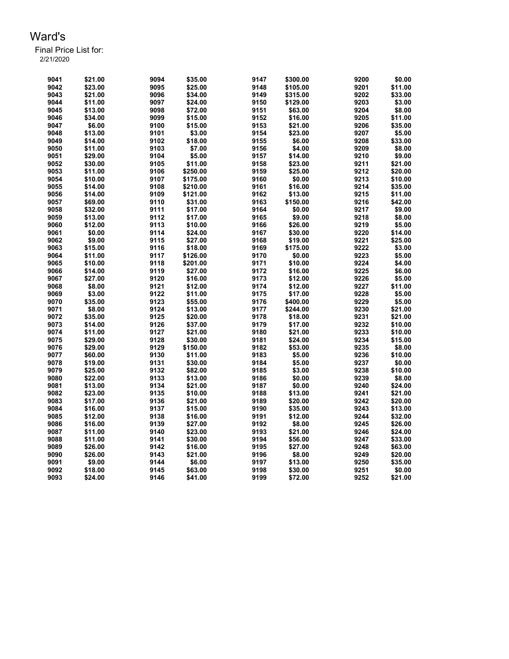| 9041 | \$21.00 | 9094 | \$35.00  | 9147 | \$300.00 | 9200 | \$0.00  |
|------|---------|------|----------|------|----------|------|---------|
| 9042 | \$23.00 | 9095 | \$25.00  | 9148 | \$105.00 | 9201 | \$11.00 |
| 9043 | \$21.00 | 9096 | \$34.00  | 9149 | \$315.00 | 9202 | \$33.00 |
| 9044 | \$11.00 | 9097 | \$24.00  | 9150 | \$129.00 | 9203 | \$3.00  |
| 9045 | \$13.00 | 9098 | \$72.00  | 9151 | \$63.00  | 9204 | \$8.00  |
| 9046 | \$34.00 | 9099 | \$15.00  | 9152 | \$16.00  | 9205 | \$11.00 |
| 9047 | \$6.00  | 9100 | \$15.00  | 9153 | \$21.00  | 9206 | \$35.00 |
| 9048 | \$13.00 | 9101 | \$3.00   | 9154 | \$23.00  | 9207 | \$5.00  |
| 9049 | \$14.00 | 9102 | \$18.00  | 9155 | \$6.00   | 9208 | \$33.00 |
| 9050 | \$11.00 | 9103 | \$7.00   | 9156 | \$4.00   | 9209 | \$8.00  |
| 9051 | \$29.00 | 9104 | \$5.00   | 9157 | \$14.00  | 9210 | \$9.00  |
| 9052 | \$30.00 | 9105 | \$11.00  | 9158 | \$23.00  | 9211 | \$21.00 |
| 9053 | \$11.00 | 9106 | \$250.00 | 9159 | \$25.00  | 9212 | \$20.00 |
| 9054 | \$10.00 | 9107 | \$175.00 | 9160 | \$0.00   | 9213 | \$10.00 |
| 9055 | \$14.00 | 9108 | \$210.00 | 9161 | \$16.00  | 9214 | \$35.00 |
| 9056 | \$14.00 | 9109 | \$121.00 | 9162 | \$13.00  | 9215 | \$11.00 |
| 9057 | \$69.00 | 9110 | \$31.00  | 9163 | \$150.00 | 9216 | \$42.00 |
| 9058 | \$32.00 | 9111 | \$17.00  | 9164 | \$0.00   | 9217 | \$9.00  |
| 9059 | \$13.00 | 9112 | \$17.00  | 9165 | \$9.00   | 9218 | \$8.00  |
| 9060 | \$12.00 | 9113 | \$10.00  | 9166 | \$26.00  | 9219 | \$5.00  |
| 9061 | \$0.00  | 9114 | \$24.00  | 9167 | \$30.00  | 9220 | \$14.00 |
| 9062 | \$9.00  | 9115 | \$27.00  | 9168 | \$19.00  | 9221 | \$25.00 |
| 9063 | \$15.00 | 9116 | \$18.00  | 9169 | \$175.00 | 9222 | \$3.00  |
| 9064 | \$11.00 | 9117 | \$126.00 | 9170 | \$0.00   | 9223 | \$5.00  |
| 9065 | \$10.00 | 9118 | \$201.00 | 9171 | \$10.00  | 9224 | \$4.00  |
| 9066 | \$14.00 | 9119 | \$27.00  | 9172 | \$16.00  | 9225 | \$6.00  |
| 9067 | \$27.00 | 9120 | \$16.00  | 9173 | \$12.00  | 9226 | \$5.00  |
| 9068 | \$8.00  | 9121 | \$12.00  | 9174 | \$12.00  | 9227 | \$11.00 |
| 9069 | \$3.00  | 9122 | \$11.00  | 9175 | \$17.00  | 9228 | \$5.00  |
| 9070 | \$35.00 | 9123 | \$55.00  | 9176 | \$400.00 | 9229 | \$5.00  |
| 9071 | \$8.00  | 9124 | \$13.00  | 9177 | \$244.00 | 9230 | \$21.00 |
| 9072 | \$35.00 | 9125 | \$20.00  | 9178 | \$18.00  | 9231 | \$21.00 |
| 9073 | \$14.00 | 9126 | \$37.00  | 9179 | \$17.00  | 9232 | \$10.00 |
| 9074 | \$11.00 | 9127 | \$21.00  | 9180 | \$21.00  | 9233 | \$10.00 |
| 9075 | \$29.00 | 9128 | \$30.00  | 9181 | \$24.00  | 9234 | \$15.00 |
| 9076 | \$29.00 | 9129 | \$150.00 | 9182 | \$53.00  | 9235 | \$8.00  |
| 9077 | \$60.00 | 9130 | \$11.00  | 9183 | \$5.00   | 9236 | \$10.00 |
| 9078 | \$19.00 | 9131 | \$30.00  | 9184 | \$5.00   | 9237 | \$0.00  |
| 9079 | \$25.00 | 9132 | \$82.00  | 9185 | \$3.00   | 9238 | \$10.00 |
| 9080 | \$22.00 | 9133 | \$13.00  | 9186 | \$0.00   | 9239 | \$8.00  |
| 9081 | \$13.00 | 9134 | \$21.00  | 9187 | \$0.00   | 9240 | \$24.00 |
| 9082 | \$23.00 | 9135 | \$10.00  | 9188 | \$13.00  | 9241 | \$21.00 |
| 9083 | \$17.00 | 9136 | \$21.00  | 9189 | \$20.00  | 9242 | \$20.00 |
| 9084 | \$16.00 | 9137 | \$15.00  | 9190 | \$35.00  | 9243 | \$13.00 |
| 9085 | \$12.00 | 9138 | \$16.00  | 9191 | \$12.00  | 9244 | \$32.00 |
| 9086 | \$16.00 | 9139 | \$27.00  | 9192 | \$8.00   | 9245 | \$26.00 |
| 9087 | \$11.00 | 9140 | \$23.00  | 9193 | \$21.00  | 9246 | \$24.00 |
| 9088 | \$11.00 | 9141 | \$30.00  | 9194 | \$56.00  | 9247 | \$33.00 |
| 9089 | \$26.00 | 9142 | \$16.00  | 9195 | \$27.00  | 9248 | \$63.00 |
| 9090 | \$26.00 | 9143 | \$21.00  | 9196 | \$8.00   | 9249 | \$20.00 |
| 9091 | \$9.00  | 9144 | \$6.00   | 9197 | \$13.00  | 9250 | \$35.00 |
| 9092 | \$18.00 | 9145 | \$63.00  | 9198 | \$30.00  | 9251 | \$0.00  |
| 9093 | \$24.00 | 9146 | \$41.00  | 9199 | \$72.00  | 9252 | \$21.00 |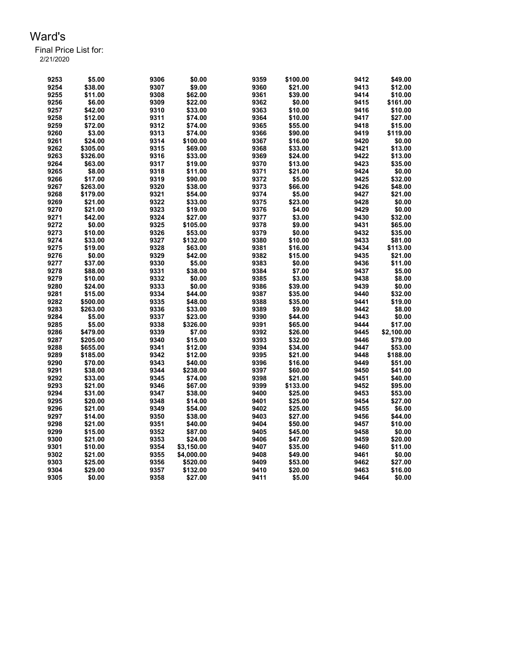| 9253 | \$5.00   | 9306 | \$0.00     | 9359 | \$100.00 | 9412 | \$49.00    |
|------|----------|------|------------|------|----------|------|------------|
| 9254 | \$38.00  | 9307 | \$9.00     | 9360 | \$21.00  | 9413 | \$12.00    |
| 9255 | \$11.00  | 9308 | \$62.00    | 9361 | \$39.00  | 9414 | \$10.00    |
| 9256 | \$6.00   | 9309 | \$22.00    | 9362 | \$0.00   | 9415 | \$161.00   |
| 9257 | \$42.00  | 9310 | \$33.00    | 9363 | \$10.00  | 9416 | \$10.00    |
| 9258 | \$12.00  | 9311 | \$74.00    | 9364 | \$10.00  | 9417 | \$27.00    |
| 9259 | \$72.00  | 9312 | \$74.00    | 9365 | \$55.00  | 9418 | \$15.00    |
| 9260 | \$3.00   | 9313 | \$74.00    | 9366 | \$90.00  | 9419 | \$119.00   |
| 9261 | \$24.00  | 9314 | \$100.00   | 9367 | \$16.00  | 9420 | \$0.00     |
| 9262 | \$305.00 | 9315 | \$69.00    | 9368 | \$33.00  | 9421 | \$13.00    |
| 9263 | \$326.00 | 9316 | \$33.00    | 9369 | \$24.00  | 9422 | \$13.00    |
| 9264 | \$63.00  | 9317 | \$19.00    | 9370 | \$13.00  | 9423 | \$35.00    |
| 9265 | \$8.00   | 9318 | \$11.00    | 9371 | \$21.00  | 9424 | \$0.00     |
| 9266 | \$17.00  | 9319 | \$90.00    | 9372 | \$5.00   | 9425 | \$32.00    |
| 9267 | \$263.00 | 9320 | \$38.00    | 9373 | \$66.00  | 9426 | \$48.00    |
| 9268 | \$179.00 | 9321 | \$54.00    | 9374 | \$5.00   | 9427 | \$21.00    |
| 9269 | \$21.00  | 9322 | \$33.00    | 9375 | \$23.00  | 9428 | \$0.00     |
| 9270 | \$21.00  | 9323 | \$19.00    | 9376 | \$4.00   | 9429 | \$0.00     |
| 9271 | \$42.00  | 9324 | \$27.00    | 9377 | \$3.00   | 9430 | \$32.00    |
| 9272 | \$0.00   | 9325 | \$105.00   | 9378 | \$9.00   | 9431 | \$65.00    |
| 9273 | \$10.00  | 9326 | \$53.00    | 9379 | \$0.00   | 9432 | \$35.00    |
| 9274 | \$33.00  | 9327 | \$132.00   | 9380 | \$10.00  | 9433 | \$81.00    |
| 9275 | \$19.00  | 9328 | \$63.00    | 9381 | \$16.00  | 9434 | \$113.00   |
| 9276 | \$0.00   | 9329 | \$42.00    | 9382 | \$15.00  | 9435 | \$21.00    |
| 9277 | \$37.00  | 9330 | \$5.00     | 9383 | \$0.00   | 9436 | \$11.00    |
| 9278 | \$88.00  | 9331 | \$38.00    | 9384 | \$7.00   | 9437 | \$5.00     |
| 9279 | \$10.00  | 9332 | \$0.00     | 9385 | \$3.00   | 9438 | \$8.00     |
| 9280 | \$24.00  | 9333 | \$0.00     | 9386 | \$39.00  | 9439 | \$0.00     |
|      |          |      |            |      |          |      | \$32.00    |
| 9281 | \$15.00  | 9334 | \$44.00    | 9387 | \$35.00  | 9440 |            |
| 9282 | \$500.00 | 9335 | \$48.00    | 9388 | \$35.00  | 9441 | \$19.00    |
| 9283 | \$263.00 | 9336 | \$33.00    | 9389 | \$9.00   | 9442 | \$8.00     |
| 9284 | \$5.00   | 9337 | \$23.00    | 9390 | \$44.00  | 9443 | \$0.00     |
| 9285 | \$5.00   | 9338 | \$326.00   | 9391 | \$65.00  | 9444 | \$17.00    |
| 9286 | \$479.00 | 9339 | \$7.00     | 9392 | \$26.00  | 9445 | \$2,100.00 |
| 9287 | \$205.00 | 9340 | \$15.00    | 9393 | \$32.00  | 9446 | \$79.00    |
| 9288 | \$655.00 | 9341 | \$12.00    | 9394 | \$34.00  | 9447 | \$53.00    |
| 9289 | \$185.00 | 9342 | \$12.00    | 9395 | \$21.00  | 9448 | \$188.00   |
| 9290 | \$70.00  | 9343 | \$40.00    | 9396 | \$16.00  | 9449 | \$51.00    |
| 9291 | \$38.00  | 9344 | \$238.00   | 9397 | \$60.00  | 9450 | \$41.00    |
| 9292 | \$33.00  | 9345 | \$74.00    | 9398 | \$21.00  | 9451 | \$40.00    |
| 9293 | \$21.00  | 9346 | \$67.00    | 9399 | \$133.00 | 9452 | \$95.00    |
| 9294 | \$31.00  | 9347 | \$38.00    | 9400 | \$25.00  | 9453 | \$53.00    |
| 9295 | \$20.00  | 9348 | \$14.00    | 9401 | \$25.00  | 9454 | \$27.00    |
| 9296 | \$21.00  | 9349 | \$54.00    | 9402 | \$25.00  | 9455 | \$6.00     |
| 9297 | \$14.00  | 9350 | \$38.00    | 9403 | \$27.00  | 9456 | \$44.00    |
| 9298 | \$21.00  | 9351 | \$40.00    | 9404 | \$50.00  | 9457 | \$10.00    |
| 9299 | \$15.00  | 9352 | \$87.00    | 9405 | \$45.00  | 9458 | \$0.00     |
| 9300 | \$21.00  | 9353 | \$24.00    | 9406 | \$47.00  | 9459 | \$20.00    |
| 9301 | \$10.00  | 9354 | \$3,150.00 | 9407 | \$35.00  | 9460 | \$11.00    |
| 9302 | \$21.00  | 9355 | \$4,000.00 | 9408 | \$49.00  | 9461 | \$0.00     |
| 9303 | \$25.00  | 9356 | \$520.00   | 9409 | \$53.00  | 9462 | \$27.00    |
| 9304 | \$29.00  | 9357 | \$132.00   | 9410 | \$20.00  | 9463 | \$16.00    |
| 9305 | \$0.00   | 9358 | \$27.00    | 9411 | \$5.00   | 9464 | \$0.00     |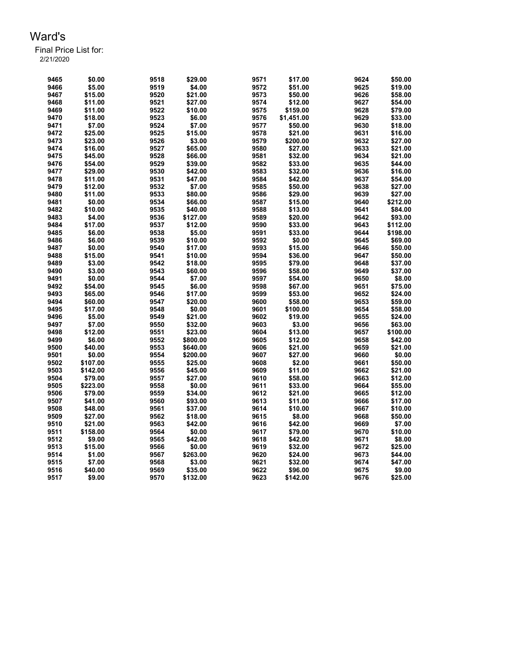| 9465 | \$0.00   | 9518 | \$29.00  | 9571 | \$17.00    | 9624 | \$50.00  |
|------|----------|------|----------|------|------------|------|----------|
| 9466 | \$5.00   | 9519 | \$4.00   | 9572 | \$51.00    | 9625 | \$19.00  |
| 9467 | \$15.00  | 9520 | \$21.00  | 9573 | \$50.00    | 9626 | \$58.00  |
| 9468 | \$11.00  | 9521 | \$27.00  | 9574 | \$12.00    | 9627 | \$54.00  |
| 9469 | \$11.00  | 9522 | \$10.00  | 9575 | \$159.00   | 9628 | \$79.00  |
| 9470 | \$18.00  | 9523 | \$6.00   | 9576 | \$1,451.00 | 9629 | \$33.00  |
| 9471 | \$7.00   | 9524 | \$7.00   | 9577 | \$50.00    | 9630 | \$18.00  |
| 9472 | \$25.00  | 9525 | \$15.00  | 9578 | \$21.00    | 9631 | \$16.00  |
| 9473 | \$23.00  | 9526 | \$3.00   | 9579 | \$200.00   | 9632 | \$27.00  |
| 9474 | \$16.00  | 9527 | \$65.00  | 9580 | \$27.00    | 9633 | \$21.00  |
| 9475 | \$45.00  | 9528 | \$66.00  | 9581 | \$32.00    | 9634 | \$21.00  |
| 9476 | \$54.00  | 9529 | \$39.00  | 9582 | \$33.00    | 9635 | \$44.00  |
| 9477 | \$29.00  | 9530 | \$42.00  | 9583 | \$32.00    | 9636 | \$16.00  |
| 9478 | \$11.00  | 9531 | \$47.00  | 9584 | \$42.00    | 9637 | \$54.00  |
| 9479 | \$12.00  | 9532 | \$7.00   | 9585 | \$50.00    | 9638 | \$27.00  |
| 9480 | \$11.00  | 9533 | \$80.00  | 9586 | \$29.00    | 9639 | \$27.00  |
| 9481 | \$0.00   | 9534 | \$66.00  | 9587 | \$15.00    | 9640 | \$212.00 |
| 9482 | \$10.00  | 9535 | \$40.00  | 9588 | \$13.00    | 9641 | \$84.00  |
| 9483 | \$4.00   | 9536 | \$127.00 | 9589 | \$20.00    | 9642 | \$93.00  |
| 9484 | \$17.00  | 9537 | \$12.00  | 9590 | \$33.00    | 9643 | \$112.00 |
|      | \$6.00   | 9538 | \$5.00   | 9591 |            | 9644 | \$198.00 |
| 9485 | \$6.00   | 9539 |          |      | \$33.00    | 9645 |          |
| 9486 |          |      | \$10.00  | 9592 | \$0.00     |      | \$69.00  |
| 9487 | \$0.00   | 9540 | \$17.00  | 9593 | \$15.00    | 9646 | \$50.00  |
| 9488 | \$15.00  | 9541 | \$10.00  | 9594 | \$36.00    | 9647 | \$50.00  |
| 9489 | \$3.00   | 9542 | \$18.00  | 9595 | \$79.00    | 9648 | \$37.00  |
| 9490 | \$3.00   | 9543 | \$60.00  | 9596 | \$58.00    | 9649 | \$37.00  |
| 9491 | \$0.00   | 9544 | \$7.00   | 9597 | \$54.00    | 9650 | \$8.00   |
| 9492 | \$54.00  | 9545 | \$6.00   | 9598 | \$67.00    | 9651 | \$75.00  |
| 9493 | \$65.00  | 9546 | \$17.00  | 9599 | \$53.00    | 9652 | \$24.00  |
| 9494 | \$60.00  | 9547 | \$20.00  | 9600 | \$58.00    | 9653 | \$59.00  |
| 9495 | \$17.00  | 9548 | \$0.00   | 9601 | \$100.00   | 9654 | \$58.00  |
| 9496 | \$5.00   | 9549 | \$21.00  | 9602 | \$19.00    | 9655 | \$24.00  |
| 9497 | \$7.00   | 9550 | \$32.00  | 9603 | \$3.00     | 9656 | \$63.00  |
| 9498 | \$12.00  | 9551 | \$23.00  | 9604 | \$13.00    | 9657 | \$100.00 |
| 9499 | \$6.00   | 9552 | \$800.00 | 9605 | \$12.00    | 9658 | \$42.00  |
| 9500 | \$40.00  | 9553 | \$640.00 | 9606 | \$21.00    | 9659 | \$21.00  |
| 9501 | \$0.00   | 9554 | \$200.00 | 9607 | \$27.00    | 9660 | \$0.00   |
| 9502 | \$107.00 | 9555 | \$25.00  | 9608 | \$2.00     | 9661 | \$50.00  |
| 9503 | \$142.00 | 9556 | \$45.00  | 9609 | \$11.00    | 9662 | \$21.00  |
| 9504 | \$79.00  | 9557 | \$27.00  | 9610 | \$58.00    | 9663 | \$12.00  |
| 9505 | \$223.00 | 9558 | \$0.00   | 9611 | \$33.00    | 9664 | \$55.00  |
| 9506 | \$79.00  | 9559 | \$34.00  | 9612 | \$21.00    | 9665 | \$12.00  |
| 9507 | \$41.00  | 9560 | \$93.00  | 9613 | \$11.00    | 9666 | \$17.00  |
| 9508 | \$48.00  | 9561 | \$37.00  | 9614 | \$10.00    | 9667 | \$10.00  |
| 9509 | \$27.00  | 9562 | \$18.00  | 9615 | \$8.00     | 9668 | \$50.00  |
| 9510 | \$21.00  | 9563 | \$42.00  | 9616 | \$42.00    | 9669 | \$7.00   |
| 9511 | \$158.00 | 9564 | \$0.00   | 9617 | \$79.00    | 9670 | \$10.00  |
| 9512 | \$9.00   | 9565 | \$42.00  | 9618 | \$42.00    | 9671 | \$8.00   |
| 9513 | \$15.00  | 9566 | \$0.00   | 9619 | \$32.00    | 9672 | \$25.00  |
| 9514 | \$1.00   | 9567 | \$263.00 | 9620 | \$24.00    | 9673 | \$44.00  |
| 9515 | \$7.00   | 9568 | \$3.00   | 9621 | \$32.00    | 9674 | \$47.00  |
| 9516 | \$40.00  | 9569 | \$35.00  | 9622 | \$96.00    | 9675 | \$9.00   |
| 9517 | \$9.00   | 9570 | \$132.00 | 9623 | \$142.00   | 9676 | \$25.00  |
|      |          |      |          |      |            |      |          |